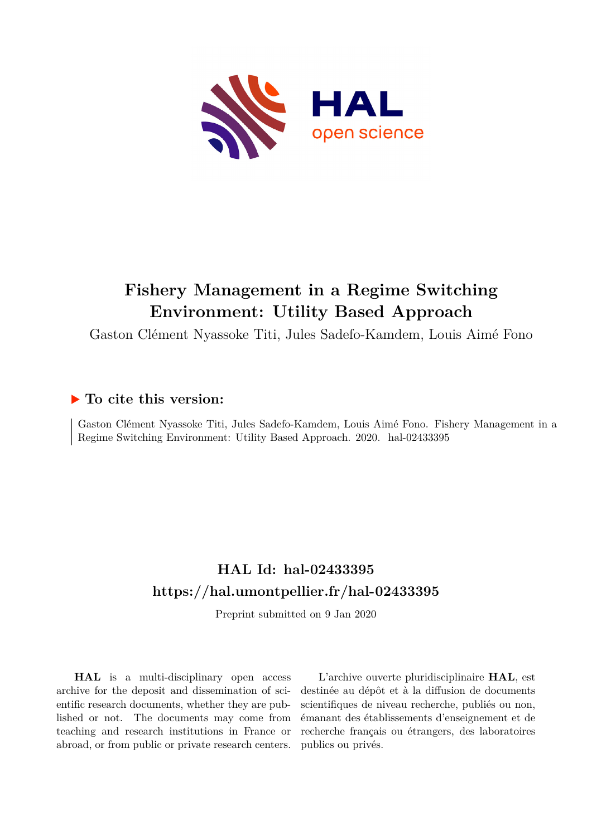

# **Fishery Management in a Regime Switching Environment: Utility Based Approach**

Gaston Clément Nyassoke Titi, Jules Sadefo-Kamdem, Louis Aimé Fono

# **To cite this version:**

Gaston Clément Nyassoke Titi, Jules Sadefo-Kamdem, Louis Aimé Fono. Fishery Management in a Regime Switching Environment: Utility Based Approach. 2020. hal-02433395

# **HAL Id: hal-02433395 <https://hal.umontpellier.fr/hal-02433395>**

Preprint submitted on 9 Jan 2020

**HAL** is a multi-disciplinary open access archive for the deposit and dissemination of scientific research documents, whether they are published or not. The documents may come from teaching and research institutions in France or abroad, or from public or private research centers.

L'archive ouverte pluridisciplinaire **HAL**, est destinée au dépôt et à la diffusion de documents scientifiques de niveau recherche, publiés ou non, émanant des établissements d'enseignement et de recherche français ou étrangers, des laboratoires publics ou privés.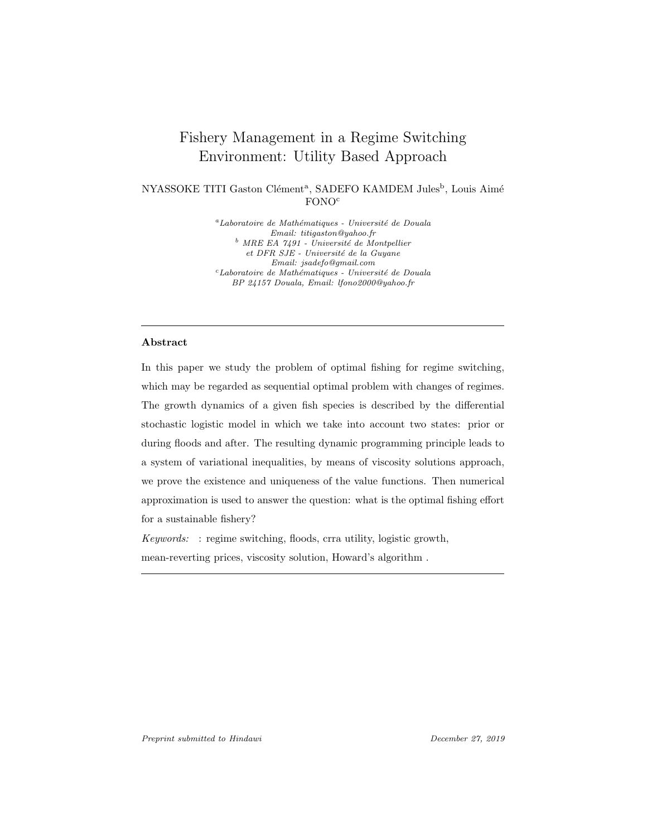# Fishery Management in a Regime Switching Environment: Utility Based Approach

NYASSOKE TITI Gaston Clément<sup>a</sup>, SADEFO KAMDEM Jules<sup>b</sup>, Louis Aimé FONO<sup>c</sup>

> ${}^a$ Laboratoire de Mathématiques - Université de Douala Email: titigaston@yahoo.fr  $\emph{b}$  MRE EA 7491 - Université de Montpellier et DFR SJE - Université de la Guyane Email: jsadefo@gmail.com  $c$ Laboratoire de Mathématiques - Université de Douala BP 24157 Douala, Email: lfono2000@yahoo.fr

## Abstract

In this paper we study the problem of optimal fishing for regime switching, which may be regarded as sequential optimal problem with changes of regimes. The growth dynamics of a given fish species is described by the differential stochastic logistic model in which we take into account two states: prior or during floods and after. The resulting dynamic programming principle leads to a system of variational inequalities, by means of viscosity solutions approach, we prove the existence and uniqueness of the value functions. Then numerical approximation is used to answer the question: what is the optimal fishing effort for a sustainable fishery?

 $Keywords:$ : regime switching, floods, crra utility, logistic growth, mean-reverting prices, viscosity solution, Howard's algorithm .

Preprint submitted to Hindawi December 27, 2019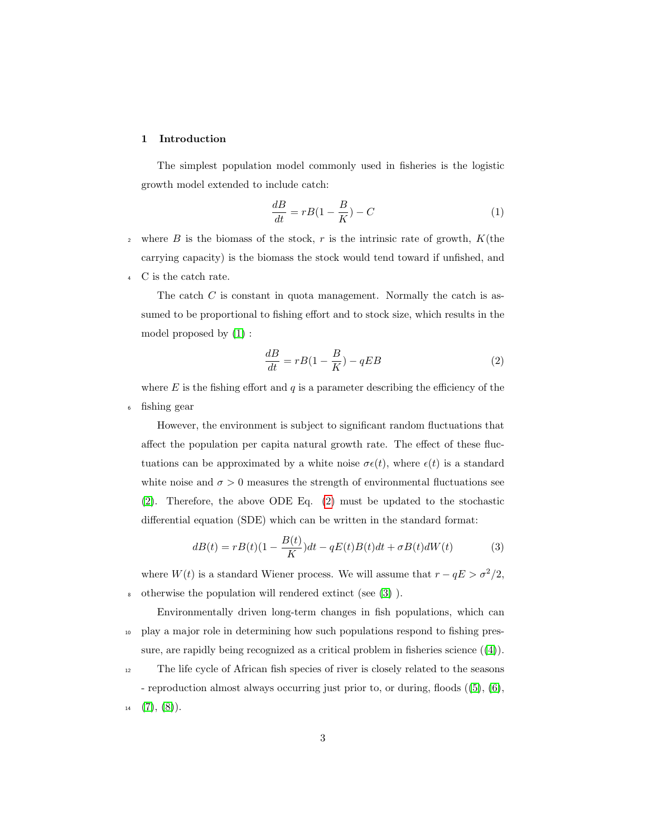### 1 Introduction

The simplest population model commonly used in fisheries is the logistic growth model extended to include catch:

$$
\frac{dB}{dt} = rB(1 - \frac{B}{K}) - C\tag{1}
$$

- <sup>2</sup> where B is the biomass of the stock, r is the intrinsic rate of growth,  $K$ (the carrying capacity) is the biomass the stock would tend toward if unfished, and
- <sup>4</sup> C is the catch rate.

The catch  $C$  is constant in quota management. Normally the catch is assumed to be proportional to fishing effort and to stock size, which results in the model proposed by (1) :

$$
\frac{dB}{dt} = rB(1 - \frac{B}{K}) - qEB \tag{2}
$$

where  $E$  is the fishing effort and  $q$  is a parameter describing the efficiency of the <sup>6</sup> fishing gear

However, the environment is subject to significant random fluctuations that affect the population per capita natural growth rate. The effect of these fluctuations can be approximated by a white noise  $\sigma \epsilon(t)$ , where  $\epsilon(t)$  is a standard white noise and  $\sigma > 0$  measures the strength of environmental fluctuations see (2). Therefore, the above ODE Eq. (2) must be updated to the stochastic differential equation (SDE) which can be written in the standard format:

$$
dB(t) = rB(t)(1 - \frac{B(t)}{K})dt - qE(t)B(t)dt + \sigma B(t)dW(t)
$$
\n(3)

where  $W(t)$  is a standard Wiener process. We will assume that  $r - qE > \sigma^2/2$ , <sup>8</sup> otherwise the population will rendered extinct (see (3) ).

Environmentally driven long-term changes in fish populations, which can <sup>10</sup> play a major role in determining how such populations respond to fishing pressure, are rapidly being recognized as a critical problem in fisheries science  $((4))$ .

<sup>12</sup> The life cycle of African fish species of river is closely related to the seasons

- reproduction almost always occurring just prior to, or during, floods ((5), (6),  $14$   $(7), (8)$ .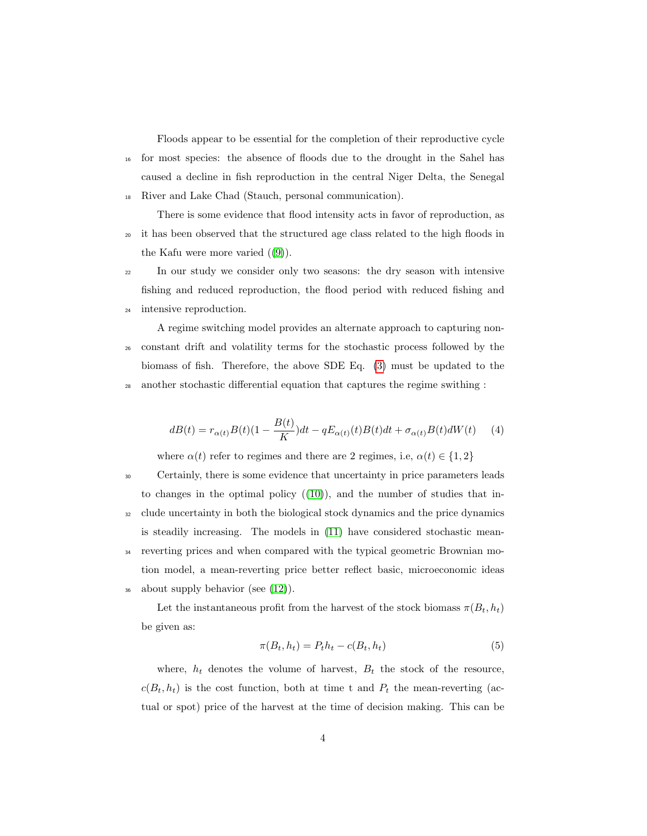Floods appear to be essential for the completion of their reproductive cycle <sup>16</sup> for most species: the absence of floods due to the drought in the Sahel has caused a decline in fish reproduction in the central Niger Delta, the Senegal <sup>18</sup> River and Lake Chad (Stauch, personal communication).

There is some evidence that flood intensity acts in favor of reproduction, as <sup>20</sup> it has been observed that the structured age class related to the high floods in the Kafu were more varied  $((9))$ .

- <sup>22</sup> In our study we consider only two seasons: the dry season with intensive fishing and reduced reproduction, the flood period with reduced fishing and
- <sup>24</sup> intensive reproduction.

A regime switching model provides an alternate approach to capturing non-<sup>26</sup> constant drift and volatility terms for the stochastic process followed by the biomass of fish. Therefore, the above SDE Eq. (3) must be updated to the <sup>28</sup> another stochastic differential equation that captures the regime swithing :

$$
dB(t) = r_{\alpha(t)}B(t)(1 - \frac{B(t)}{K})dt - qE_{\alpha(t)}(t)B(t)dt + \sigma_{\alpha(t)}B(t)dW(t)
$$
 (4)

where  $\alpha(t)$  refer to regimes and there are 2 regimes, i.e,  $\alpha(t) \in \{1,2\}$ 

<sup>30</sup> Certainly, there is some evidence that uncertainty in price parameters leads to changes in the optimal policy  $((10))$ , and the number of studies that in-<sup>32</sup> clude uncertainty in both the biological stock dynamics and the price dynamics is steadily increasing. The models in (11) have considered stochastic mean-<sup>34</sup> reverting prices and when compared with the typical geometric Brownian motion model, a mean-reverting price better reflect basic, microeconomic ideas  $_{36}$  about supply behavior (see  $(12)$ ).

Let the instantaneous profit from the harvest of the stock biomass  $\pi(B_t, h_t)$ be given as:

$$
\pi(B_t, h_t) = P_t h_t - c(B_t, h_t) \tag{5}
$$

where,  $h_t$  denotes the volume of harvest,  $B_t$  the stock of the resource,  $c(B_t, h_t)$  is the cost function, both at time t and  $P_t$  the mean-reverting (actual or spot) price of the harvest at the time of decision making. This can be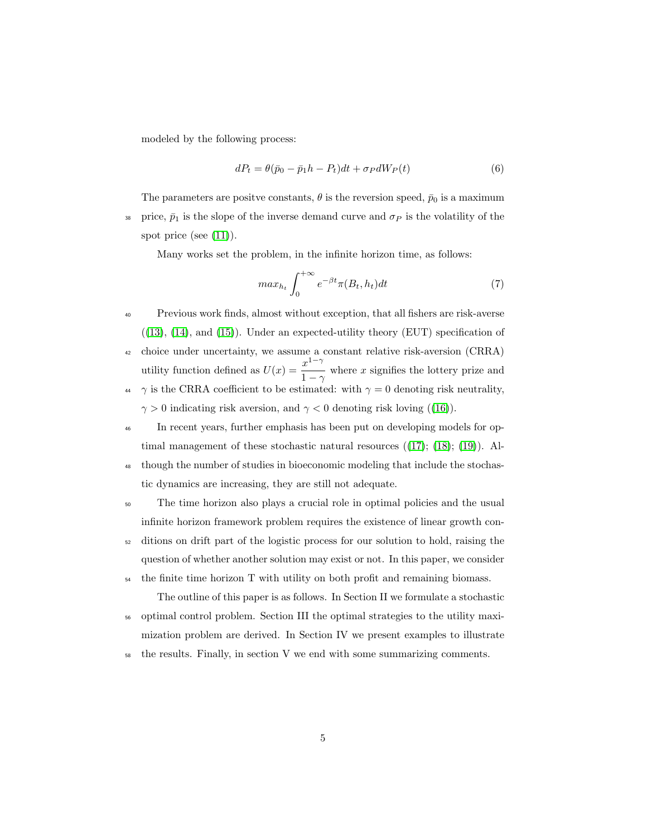modeled by the following process:

$$
dP_t = \theta(\bar{p}_0 - \bar{p}_1 h - P_t)dt + \sigma_P dW_P(t)
$$
\n<sup>(6)</sup>

The parameters are positve constants,  $\theta$  is the reversion speed,  $\bar{p}_0$  is a maximum 38 price,  $\bar{p}_1$  is the slope of the inverse demand curve and  $\sigma_P$  is the volatility of the spot price (see  $(11)$ ).

Many works set the problem, in the infinite horizon time, as follows:

$$
max_{h_t} \int_0^{+\infty} e^{-\beta t} \pi(B_t, h_t) dt \tag{7}
$$

- <sup>40</sup> Previous work finds, almost without exception, that all fishers are risk-averse  $((13), (14), and (15))$ . Under an expected-utility theory (EUT) specification of <sup>42</sup> choice under uncertainty, we assume a constant relative risk-aversion (CRRA) utility function defined as  $U(x) = \frac{x^{1-\gamma}}{1-x^2}$  $\frac{x}{1-\gamma}$  where x signifies the lottery prize and 44  $\gamma$  is the CRRA coefficient to be estimated: with  $\gamma = 0$  denoting risk neutrality,  $\gamma > 0$  indicating risk aversion, and  $\gamma < 0$  denoting risk loving ((16)).
- <sup>46</sup> In recent years, further emphasis has been put on developing models for optimal management of these stochastic natural resources  $((17); (18); (19))$ . Al-
- <sup>48</sup> though the number of studies in bioeconomic modeling that include the stochastic dynamics are increasing, they are still not adequate.
- <sup>50</sup> The time horizon also plays a crucial role in optimal policies and the usual infinite horizon framework problem requires the existence of linear growth con-
- <sup>52</sup> ditions on drift part of the logistic process for our solution to hold, raising the question of whether another solution may exist or not. In this paper, we consider
- <sup>54</sup> the finite time horizon T with utility on both profit and remaining biomass. The outline of this paper is as follows. In Section II we formulate a stochastic
- <sup>56</sup> optimal control problem. Section III the optimal strategies to the utility maximization problem are derived. In Section IV we present examples to illustrate
- $58$  the results. Finally, in section V we end with some summarizing comments.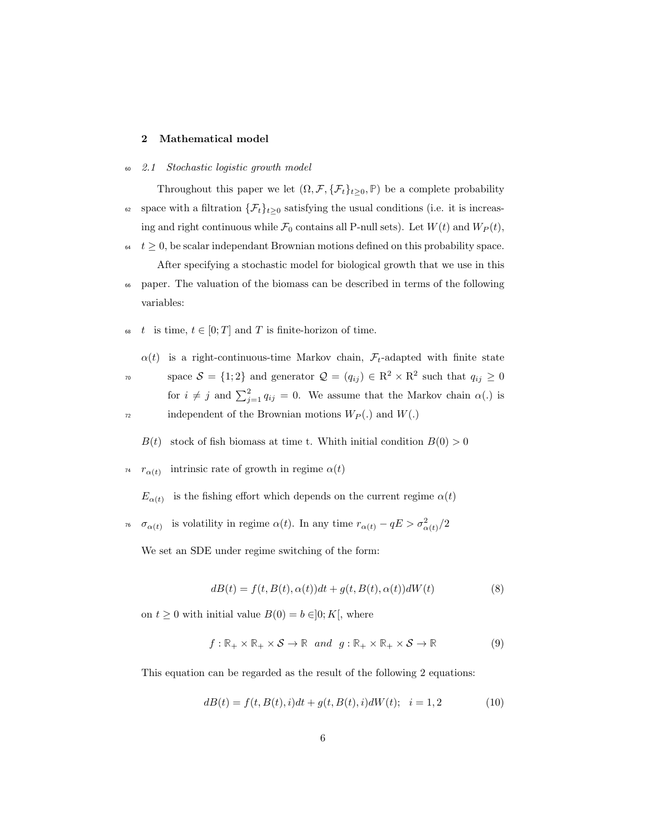### 2 Mathematical model

<sup>60</sup> 2.1 Stochastic logistic growth model

Throughout this paper we let  $(\Omega, \mathcal{F}, \{\mathcal{F}_t\}_{t\geq 0}, \mathbb{P})$  be a complete probability

- 62 space with a filtration  $\{\mathcal{F}_t\}_{t\geq 0}$  satisfying the usual conditions (i.e. it is increasing and right continuous while  $\mathcal{F}_0$  contains all P-null sets). Let  $W(t)$  and  $W_P(t)$ ,
- $t \geq 0$ , be scalar independant Brownian motions defined on this probability space. After specifying a stochastic model for biological growth that we use in this
- <sup>66</sup> paper. The valuation of the biomass can be described in terms of the following variables:
- 68 t is time,  $t \in [0; T]$  and T is finite-horizon of time.

 $\alpha(t)$  is a right-continuous-time Markov chain,  $\mathcal{F}_t$ -adapted with finite state

space  $S = \{1, 2\}$  and generator  $\mathcal{Q} = (q_{ij}) \in \mathbb{R}^2 \times \mathbb{R}^2$  such that  $q_{ij} \geq 0$ for  $i \neq j$  and  $\sum_{j=1}^{2} q_{ij} = 0$ . We assume that the Markov chain  $\alpha(.)$  is  $\eta_2$  independent of the Brownian motions  $W_P(.)$  and  $W(.)$ 

 $B(t)$  stock of fish biomass at time t. Whith initial condition  $B(0) > 0$ 

<sup>74</sup>  $r_{\alpha(t)}$  intrinsic rate of growth in regime  $\alpha(t)$ 

 $E_{\alpha(t)}$  is the fishing effort which depends on the current regime  $\alpha(t)$ 

<sup>76</sup>  $\sigma_{\alpha(t)}$  is volatility in regime  $\alpha(t)$ . In any time  $r_{\alpha(t)} - qE > \sigma_{\alpha(t)}^2/2$ 

We set an SDE under regime switching of the form:

$$
dB(t) = f(t, B(t), \alpha(t))dt + g(t, B(t), \alpha(t))dW(t)
$$
\n(8)

on  $t \geq 0$  with initial value  $B(0) = b \in ]0; K[$ , where

$$
f: \mathbb{R}_+ \times \mathbb{R}_+ \times \mathcal{S} \to \mathbb{R} \quad and \quad g: \mathbb{R}_+ \times \mathbb{R}_+ \times \mathcal{S} \to \mathbb{R} \tag{9}
$$

This equation can be regarded as the result of the following 2 equations:

$$
dB(t) = f(t, B(t), i)dt + g(t, B(t), i)dW(t); \quad i = 1, 2
$$
\n(10)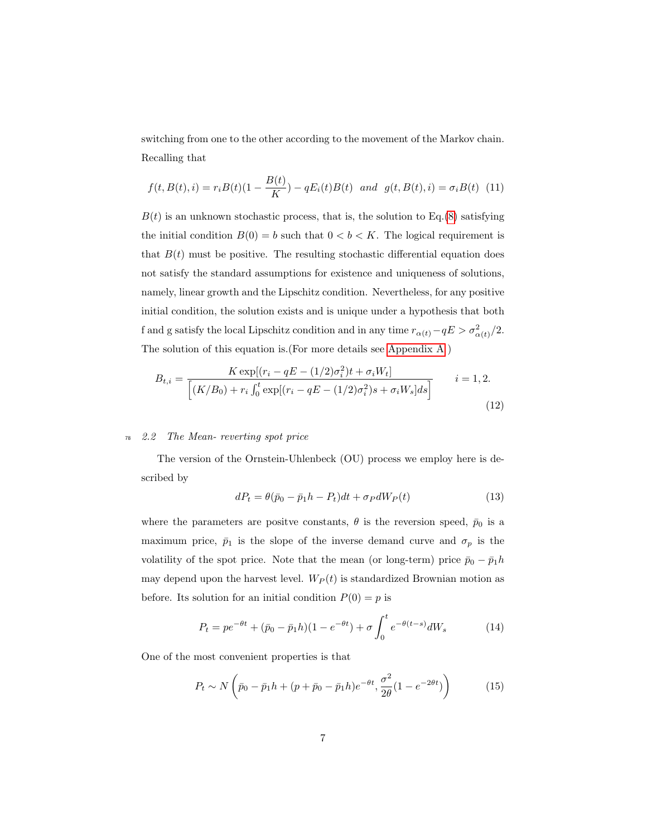switching from one to the other according to the movement of the Markov chain. Recalling that

$$
f(t, B(t), i) = r_i B(t)(1 - \frac{B(t)}{K}) - qE_i(t)B(t) \text{ and } g(t, B(t), i) = \sigma_i B(t) \tag{11}
$$

 $B(t)$  is an unknown stochastic process, that is, the solution to Eq.(8) satisfying the initial condition  $B(0) = b$  such that  $0 < b < K$ . The logical requirement is that  $B(t)$  must be positive. The resulting stochastic differential equation does not satisfy the standard assumptions for existence and uniqueness of solutions, namely, linear growth and the Lipschitz condition. Nevertheless, for any positive initial condition, the solution exists and is unique under a hypothesis that both f and g satisfy the local Lipschitz condition and in any time  $r_{\alpha(t)}-qE > \sigma_{\alpha(t)}^2/2$ . The solution of this equation is.(For more details see Appendix A )

$$
B_{t,i} = \frac{K \exp[(r_i - qE - (1/2)\sigma_i^2)t + \sigma_i W_t]}{[(K/B_0) + r_i \int_0^t \exp[(r_i - qE - (1/2)\sigma_i^2)s + \sigma_i W_s]ds]}
$$
 *i* = 1, 2. (12)

### <sup>78</sup> 2.2 The Mean- reverting spot price

The version of the Ornstein-Uhlenbeck (OU) process we employ here is described by

$$
dP_t = \theta(\bar{p}_0 - \bar{p}_1 h - P_t)dt + \sigma_P dW_P(t)
$$
\n(13)

where the parameters are positve constants,  $\theta$  is the reversion speed,  $\bar{p}_0$  is a maximum price,  $\bar{p}_1$  is the slope of the inverse demand curve and  $\sigma_p$  is the volatility of the spot price. Note that the mean (or long-term) price  $\bar{p}_0 - \bar{p}_1 h$ may depend upon the harvest level.  $W_P(t)$  is standardized Brownian motion as before. Its solution for an initial condition  $P(0) = p$  is

$$
P_t = pe^{-\theta t} + (\bar{p}_0 - \bar{p}_1 h)(1 - e^{-\theta t}) + \sigma \int_0^t e^{-\theta (t - s)} dW_s \tag{14}
$$

One of the most convenient properties is that

$$
P_t \sim N\left(\bar{p}_0 - \bar{p}_1 h + (p + \bar{p}_0 - \bar{p}_1 h)e^{-\theta t}, \frac{\sigma^2}{2\theta}(1 - e^{-2\theta t})\right)
$$
(15)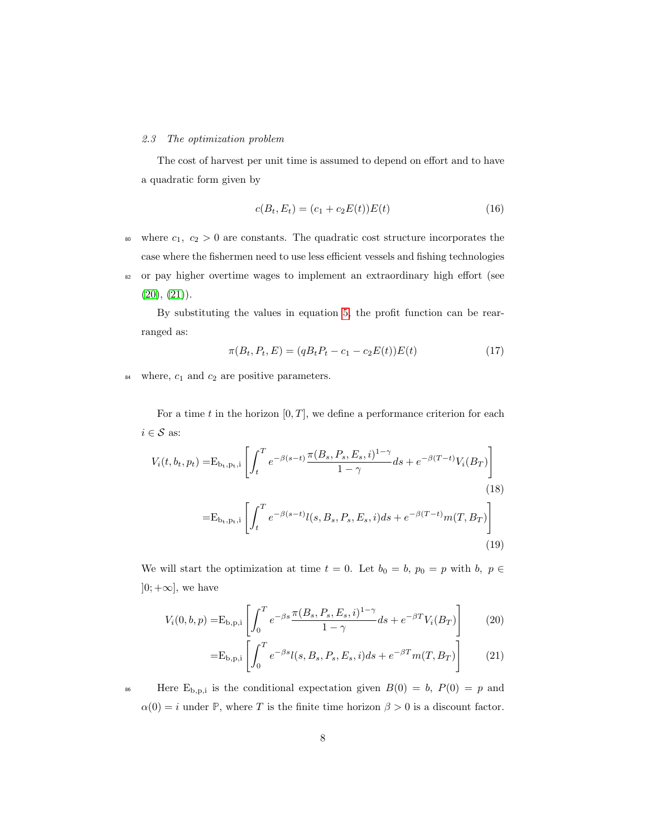#### 2.3 The optimization problem

The cost of harvest per unit time is assumed to depend on effort and to have a quadratic form given by

$$
c(B_t, E_t) = (c_1 + c_2 E(t))E(t)
$$
\n(16)

- 80 where  $c_1, c_2 > 0$  are constants. The quadratic cost structure incorporates the case where the fishermen need to use less efficient vessels and fishing technologies
- <sup>82</sup> or pay higher overtime wages to implement an extraordinary high effort (see  $(20), (21)$ .

By substituting the values in equation 5, the profit function can be rearranged as:

$$
\pi(B_t, P_t, E) = (qB_t P_t - c_1 - c_2 E(t))E(t)
$$
\n(17)

 $\frac{84}{10}$  where,  $c_1$  and  $c_2$  are positive parameters.

For a time t in the horizon  $[0, T]$ , we define a performance criterion for each  $i \in \mathcal{S}$  as:

$$
V_i(t, b_t, p_t) = E_{b_t, p_t, i} \left[ \int_t^T e^{-\beta(s-t)} \frac{\pi(B_s, P_s, E_s, i)^{1-\gamma}}{1-\gamma} ds + e^{-\beta(T-t)} V_i(B_T) \right]
$$
\n
$$
= E_{b_t, p_t, i} \left[ \int_t^T e^{-\beta(s-t)} l(s, B_s, P_s, E_s, i) ds + e^{-\beta(T-t)} m(T, B_T) \right]
$$
\n(19)

We will start the optimization at time  $t = 0$ . Let  $b_0 = b$ ,  $p_0 = p$  with  $b$ ,  $p \in$  $]0; +\infty]$ , we have

$$
V_i(0,b,p) = E_{b,p,i} \left[ \int_0^T e^{-\beta s} \frac{\pi(B_s, P_s, E_s, i)^{1-\gamma}}{1-\gamma} ds + e^{-\beta T} V_i(B_T) \right]
$$
(20)

$$
=E_{b,p,i}\left[\int_0^T e^{-\beta s}l(s, B_s, P_s, E_s, i)ds + e^{-\beta T}m(T, B_T)\right]
$$
(21)

<sup>86</sup> Here  $E_{b,p,i}$  is the conditional expectation given  $B(0) = b$ ,  $P(0) = p$  and  $\alpha(0) = i$  under **P**, where *T* is the finite time horizon  $\beta > 0$  is a discount factor.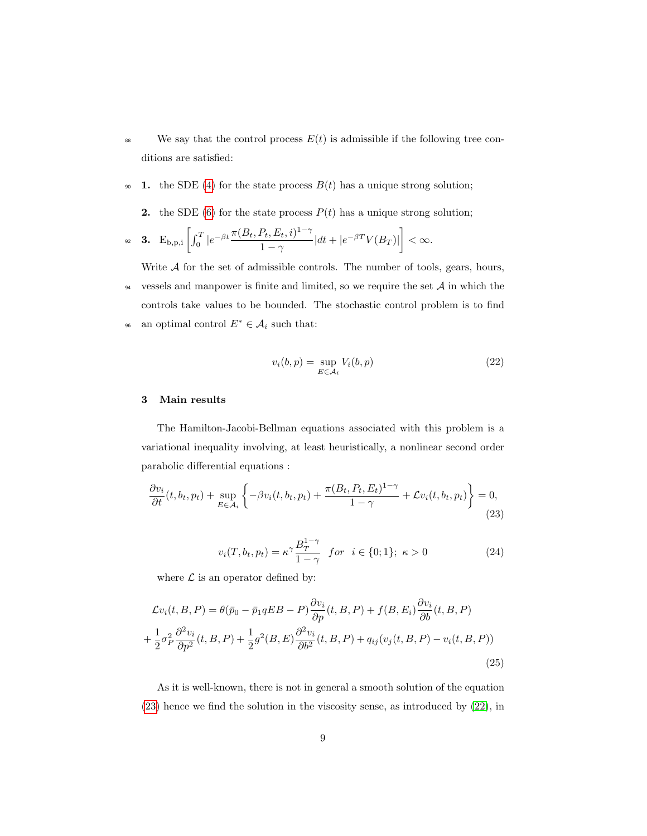- <sup>88</sup> We say that the control process  $E(t)$  is admissible if the following tree conditions are satisfied:
- 90 1. the SDE (4) for the state process  $B(t)$  has a unique strong solution;
	- 2. the SDE (6) for the state process  $P(t)$  has a unique strong solution;

$$
\text{ s. } \quad \mathbf{E}_{\mathrm{b},\mathrm{p},\mathrm{i}} \left[ \int_0^T |e^{-\beta t} \frac{\pi(B_t,P_t,E_t,i)^{1-\gamma}}{1-\gamma}| dt + |e^{-\beta T} V(B_T)| \right] < \infty.
$$

Write  $A$  for the set of admissible controls. The number of tools, gears, hours,  $\frac{94}{100}$  vessels and manpower is finite and limited, so we require the set A in which the controls take values to be bounded. The stochastic control problem is to find <sup>96</sup> an optimal control  $E^* \in \mathcal{A}_i$  such that:

$$
v_i(b, p) = \sup_{E \in \mathcal{A}_i} V_i(b, p) \tag{22}
$$

# 3 Main results

The Hamilton-Jacobi-Bellman equations associated with this problem is a variational inequality involving, at least heuristically, a nonlinear second order parabolic differential equations :

$$
\frac{\partial v_i}{\partial t}(t, b_t, p_t) + \sup_{E \in \mathcal{A}_i} \left\{ -\beta v_i(t, b_t, p_t) + \frac{\pi (B_t, P_t, E_t)^{1-\gamma}}{1-\gamma} + \mathcal{L} v_i(t, b_t, p_t) \right\} = 0,
$$
\n(23)

$$
v_i(T, b_t, p_t) = \kappa^\gamma \frac{B_T^{1-\gamma}}{1-\gamma} \quad \text{for} \quad i \in \{0; 1\}; \ \kappa > 0 \tag{24}
$$

where  $\mathcal L$  is an operator defined by:

$$
\mathcal{L}v_i(t, B, P) = \theta(\bar{p}_0 - \bar{p}_1 qEB - P) \frac{\partial v_i}{\partial p}(t, B, P) + f(B, E_i) \frac{\partial v_i}{\partial b}(t, B, P)
$$
  
+ 
$$
\frac{1}{2} \sigma_P^2 \frac{\partial^2 v_i}{\partial p^2}(t, B, P) + \frac{1}{2} g^2(B, E) \frac{\partial^2 v_i}{\partial b^2}(t, B, P) + q_{ij}(v_j(t, B, P) - v_i(t, B, P))
$$
(25)

As it is well-known, there is not in general a smooth solution of the equation (23) hence we find the solution in the viscosity sense, as introduced by (22), in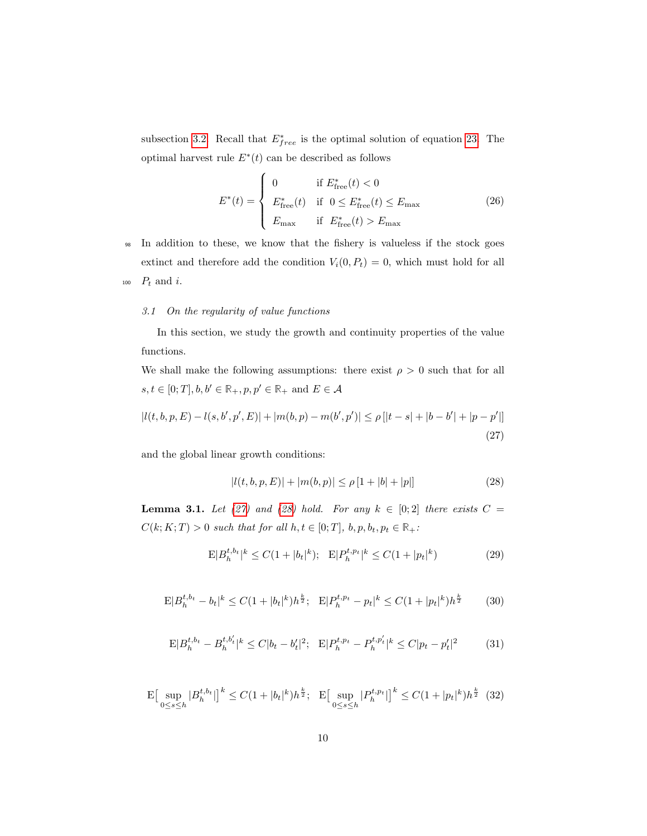subsection 3.2. Recall that  $E_{free}^*$  is the optimal solution of equation 23. The optimal harvest rule  $E^*(t)$  can be described as follows

$$
E^*(t) = \begin{cases} 0 & \text{if } E^*_{\text{free}}(t) < 0\\ E^*_{\text{free}}(t) & \text{if } 0 \le E^*_{\text{free}}(t) \le E_{\text{max}}\\ E_{\text{max}} & \text{if } E^*_{\text{free}}(t) > E_{\text{max}} \end{cases}
$$
(26)

<sup>98</sup> In addition to these, we know that the fishery is valueless if the stock goes extinct and therefore add the condition  $V_i(0, P_t) = 0$ , which must hold for all 100  $P_t$  and i.

#### 3.1 On the regularity of value functions

In this section, we study the growth and continuity properties of the value functions.

We shall make the following assumptions: there exist  $\rho > 0$  such that for all  $s,t\in[0;T], b,b'\in\mathbb{R}_+, p,p'\in\mathbb{R}_+$  and  $E\in\mathcal{A}$ 

$$
|l(t, b, p, E) - l(s, b', p', E)| + |m(b, p) - m(b', p')| \le \rho \left[ |t - s| + |b - b'| + |p - p'| \right]
$$
\n(27)

and the global linear growth conditions:

$$
|l(t, b, p, E)| + |m(b, p)| \le \rho [1 + |b| + |p|]
$$
\n(28)

**Lemma 3.1.** Let (27) and (28) hold. For any  $k \in [0,2]$  there exists  $C =$  $C(k; K; T) > 0$  such that for all  $h, t \in [0; T]$ ,  $b, p, b_t, p_t \in \mathbb{R}_+$ :

$$
E|B_h^{t,b_t}|^k \le C(1+|b_t|^k); \quad E|P_h^{t,p_t}|^k \le C(1+|p_t|^k)
$$
 (29)

$$
E|B_h^{t,b_t} - b_t|^k \le C(1 + |b_t|^k)h^{\frac{k}{2}}; \quad E|P_h^{t,p_t} - p_t|^k \le C(1 + |p_t|^k)h^{\frac{k}{2}} \tag{30}
$$

$$
E|B_h^{t,b_t} - B_h^{t,b'_t}|^k \le C|b_t - b'_t|^2; \quad E|P_h^{t,p_t} - P_h^{t,p'_t}|^k \le C|p_t - p'_t|^2 \tag{31}
$$

$$
\mathcal{E}\left[\sup_{0\leq s\leq h}|B_h^{t,b_t}| \right]^k \leq C(1+|b_t|^k)h^{\frac{k}{2}}; \quad \mathcal{E}\left[\sup_{0\leq s\leq h}|P_h^{t,p_t}| \right]^k \leq C(1+|p_t|^k)h^{\frac{k}{2}} \tag{32}
$$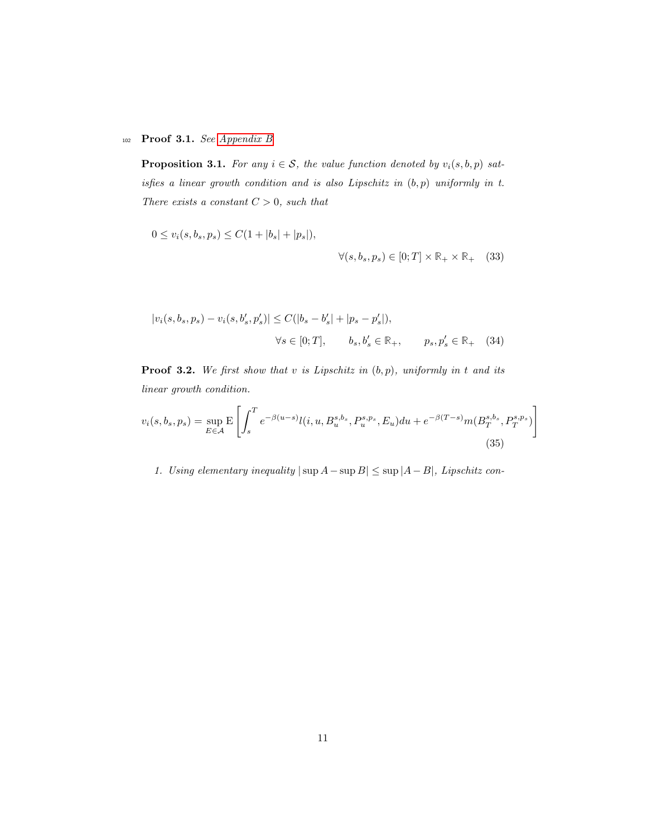# <sup>102</sup> Proof 3.1. See Appendix B

**Proposition 3.1.** For any  $i \in S$ , the value function denoted by  $v_i(s, b, p)$  satisfies a linear growth condition and is also Lipschitz in  $(b, p)$  uniformly in t. There exists a constant  $C > 0$ , such that

$$
0 \le v_i(s, b_s, p_s) \le C(1 + |b_s| + |p_s|),
$$
  

$$
\forall (s, b_s, p_s) \in [0; T] \times \mathbb{R}_+ \times \mathbb{R}_+ \quad (33)
$$

$$
|v_i(s, b_s, p_s) - v_i(s, b'_s, p'_s)| \le C(|b_s - b'_s| + |p_s - p'_s|),
$$
  

$$
\forall s \in [0; T], \qquad b_s, b'_s \in \mathbb{R}_+, \qquad p_s, p'_s \in \mathbb{R}_+ \tag{34}
$$

**Proof 3.2.** We first show that v is Lipschitz in  $(b, p)$ , uniformly in t and its linear growth condition.

$$
v_i(s, b_s, p_s) = \sup_{E \in \mathcal{A}} \mathbb{E} \left[ \int_s^T e^{-\beta(u-s)} l(i, u, B_u^{s, b_s}, P_u^{s, p_s}, E_u) du + e^{-\beta(T-s)} m(B_T^{s, b_s}, P_T^{s, p_s}) \right]
$$
(35)

1. Using elementary inequality  $|\sup A - \sup B| \le \sup |A - B|$ , Lipschitz con-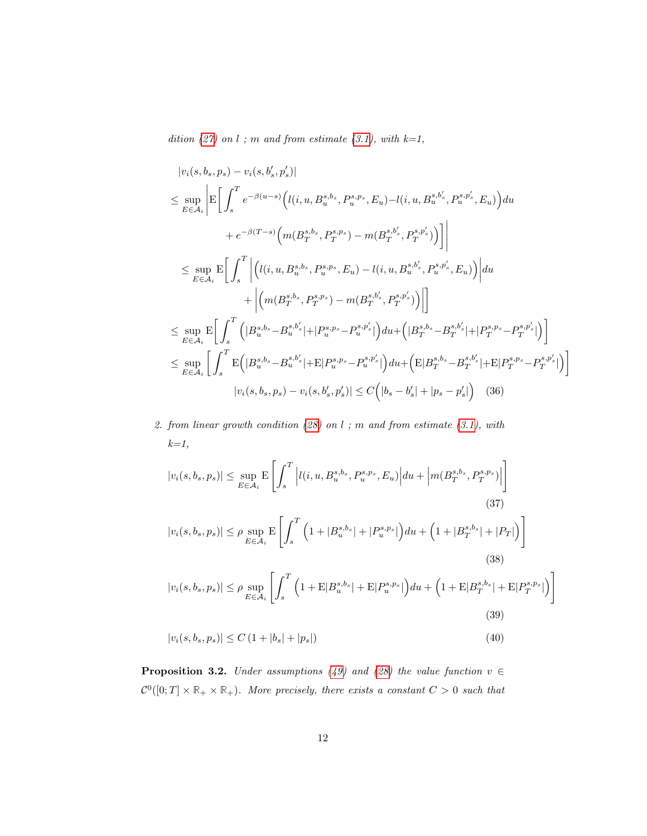dition  $(27)$  on l; m and from estimate  $(3.1)$ , with  $k=1$ ,

$$
|v_{i}(s,b_{s},p_{s}) - v_{i}(s,b'_{s},p'_{s})|
$$
  
\n
$$
\leq \sup_{E \in \mathcal{A}_{i}} \left| E \left[ \int_{s}^{T} e^{-\beta(u-s)} \left( l(i, u, B_{u}^{s,b_{s}}, P_{u}^{s,p_{s}}, E_{u}) - l(i, u, B_{u}^{s,b'_{s}}, P_{u}^{s,p'_{s}}, E_{u}) \right) du \right. \\ \left. + e^{-\beta(T-s)} \left( m(B_{T}^{s,b_{s}}, P_{T}^{s,p_{s}}) - m(B_{T}^{s,b'_{s}}, P_{T}^{s,p'_{s}}) \right) \right] \right|
$$
  
\n
$$
\leq \sup_{E \in \mathcal{A}_{i}} E \left[ \int_{s}^{T} \left| \left( l(i, u, B_{u}^{s,b_{s}}, P_{u}^{s,p_{s}}, E_{u}) - l(i, u, B_{u}^{s,b'_{s}}, P_{u}^{s,p'_{s}}, E_{u}) \right) \right| du + \left| \left( m(B_{T}^{s,b_{s}}, P_{T}^{s,p_{s}}) - m(B_{T}^{s,b'_{s}}, P_{T}^{s,p'_{s}}) \right) \right| \right]
$$
  
\n
$$
\leq \sup_{E \in \mathcal{A}_{i}} E \left[ \int_{s}^{T} \left( |B_{u}^{s,b_{s}} - B_{u}^{s,b'_{s}}| + |P_{u}^{s,p_{s}} - P_{u}^{s,p'_{s}}| \right) du + \left( |B_{T}^{s,b_{s}} - B_{T}^{s,b'_{s}}| + |P_{T}^{s,p_{s}} - P_{T}^{s,p'_{s}}| \right) \right]
$$
  
\n
$$
\leq \sup_{E \in \mathcal{A}_{i}} \left[ \int_{s}^{T} E \left( |B_{u}^{s,b_{s}} - B_{u}^{s,b'_{s}}| + E |P_{u}^{s,p_{s}} - P_{u}^{s,p'_{s}}| \right) du + \left( E |B_{T}^{s,b_{s}} - B_{T}^{s,b'_{s}}| + E |P_{T}^{s,p_{s}} - P_{T}^{s,p'_{s}}| \right) \right]
$$
  
\n
$$
|v_{i}(s,b_{s}, p_{s}) - v_{i}(s,b'_{s}, p'_{s})| \leq C \left
$$

2. from linear growth condition  $(28)$  on l; m and from estimate  $(3.1)$ , with  $k=1$ ,

$$
|v_i(s, b_s, p_s)| \le \sup_{E \in \mathcal{A}_i} \mathbb{E} \left[ \int_s^T \left| l(i, u, B_u^{s, b_s}, P_u^{s, p_s}, E_u) \right| du + \left| m(B_T^{s, b_s}, P_T^{s, p_s}) \right| \right]
$$
\n
$$
|v_i(s, b_s, p_s)| \le \rho \sup_{E \in \mathcal{A}_i} \mathbb{E} \left[ \int_s^T \left( 1 + |B_u^{s, b_s}| + |P_u^{s, p_s}| \right) du + \left( 1 + |B_T^{s, b_s}| + |P_T| \right) \right]
$$
\n
$$
|v_i(s, b_s, p_s)| \le \rho \sup_{E \in \mathcal{A}_i} \left[ \int_s^T \left( 1 + \mathbb{E} |B_u^{s, b_s}| + \mathbb{E} |P_u^{s, p_s}| \right) du + \left( 1 + \mathbb{E} |B_T^{s, b_s}| + \mathbb{E} |P_T^{s, p_s}| \right) \right]
$$
\n
$$
(38)
$$
\n
$$
|v_i(s, b_s, p_s)| \le \rho \sup_{E \in \mathcal{A}_i} \left[ \int_s^T \left( 1 + \mathbb{E} |B_u^{s, b_s}| + \mathbb{E} |P_u^{s, p_s}| \right) du + \left( 1 + \mathbb{E} |B_T^{s, b_s}| + \mathbb{E} |P_T^{s, p_s}| \right) \right]
$$
\n
$$
(39)
$$

$$
|v_i(s, b_s, p_s)| \le C \left(1 + |b_s| + |p_s|\right) \tag{40}
$$

**Proposition 3.2.** Under assumptions (49) and (28) the value function  $v \in$  $\mathcal{C}^0([0; T] \times \mathbb{R}_+ \times \mathbb{R}_+)$ . More precisely, there exists a constant  $C > 0$  such that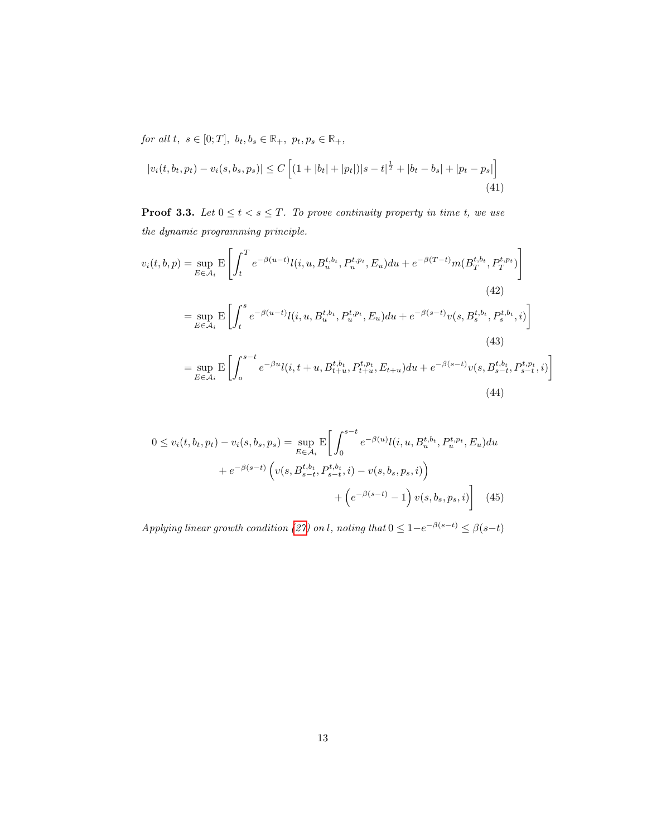for all  $t, s \in [0; T], b_t, b_s \in \mathbb{R}_+, p_t, p_s \in \mathbb{R}_+,$ 

$$
|v_i(t, b_t, p_t) - v_i(s, b_s, p_s)| \le C \left[ (1 + |b_t| + |p_t|)|s - t|^{\frac{1}{2}} + |b_t - b_s| + |p_t - p_s| \right]
$$
\n(41)

**Proof 3.3.** Let  $0 \le t < s \le T$ . To prove continuity property in time t, we use the dynamic programming principle.

$$
v_i(t, b, p) = \sup_{E \in \mathcal{A}_i} E\left[\int_t^T e^{-\beta(u-t)} l(i, u, B_u^{t, b_t}, P_u^{t, p_t}, E_u) du + e^{-\beta(T-t)} m(B_T^{t, b_t}, P_T^{t, p_t})\right]
$$
  
\n
$$
= \sup_{E \in \mathcal{A}_i} E\left[\int_t^s e^{-\beta(u-t)} l(i, u, B_u^{t, b_t}, P_u^{t, p_t}, E_u) du + e^{-\beta(s-t)} v(s, B_s^{t, b_t}, P_s^{t, b_t}, i)\right]
$$
  
\n
$$
= \sup_{E \in \mathcal{A}_i} E\left[\int_o^{s-t} e^{-\beta u} l(i, t+u, B_{t+u}^{t, b_t}, P_{t+u}^{t, p_t}, E_{t+u}) du + e^{-\beta(s-t)} v(s, B_{s-t}^{t, b_t}, P_{s-t}^{t, p_t}, i)\right]
$$
  
\n(43)  
\n(44)

$$
0 \le v_i(t, b_t, p_t) - v_i(s, b_s, p_s) = \sup_{E \in \mathcal{A}_i} E \bigg[ \int_0^{s-t} e^{-\beta(u)} l(i, u, B_u^{t, b_t}, P_u^{t, p_t}, E_u) du + e^{-\beta(s-t)} \left( v(s, B_{s-t}^{t, b_t}, P_{s-t}^{t, b_t}, i) - v(s, b_s, p_s, i) \right) + \left( e^{-\beta(s-t)} - 1 \right) v(s, b_s, p_s, i) \bigg] \tag{45}
$$

Applying linear growth condition (27) on l, noting that  $0 \leq 1-e^{-\beta(s-t)} \leq \beta(s-t)$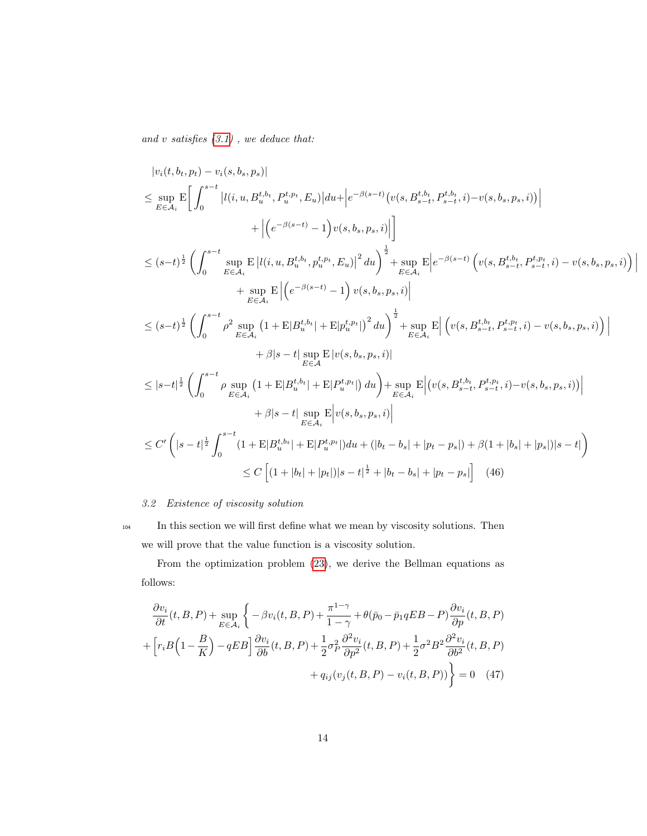and  $v$  satisfies  $(3.1)$  , we deduce that:

$$
|v_{i}(t, b_{t}, p_{t}) - v_{i}(s, b_{s}, p_{s})|
$$
\n
$$
\leq \sup_{E \in \mathcal{A}_{i}} \mathbb{E} \bigg[ \int_{0}^{s-t} |l(i, u, B_{u}^{t, b_{t}}, P_{u}^{t, p_{t}}, E_{u})| du + \bigg| e^{-\beta(s-t)} \big( v(s, B_{s-t}^{t, b_{t}}, P_{s-t}^{t, b_{t}}, i) - v(s, b_{s}, p_{s}, i) \bigg| \bigg|
$$
\n
$$
\leq (s-t)^{\frac{1}{2}} \bigg( \int_{0}^{s-t} \sup_{E \in \mathcal{A}_{i}} \mathbb{E} |l(i, u, B_{u}^{t, b_{t}}, p_{u}^{t, p_{t}}, E_{u})|^{2} du \bigg)^{\frac{1}{2}} + \sup_{E \in \mathcal{A}_{i}} \mathbb{E} \bigg| e^{-\beta(s-t)} \big( v(s, B_{s-t}^{t, b_{t}}, P_{s-t}^{t, p_{t}}, i) - v(s, b_{s}, p_{s}, i) \bigg| + \sup_{E \in \mathcal{A}_{i}} \mathbb{E} \bigg| \big( e^{-\beta(s-t)} - 1 \big) v(s, b_{s}, p_{s}, i) \bigg|
$$
\n
$$
\leq (s-t)^{\frac{1}{2}} \bigg( \int_{0}^{s-t} \rho^{2} \sup_{E \in \mathcal{A}_{i}} \big( 1 + \mathbb{E} |B_{u}^{t, b_{t}}| + \mathbb{E} |p_{u}^{t, p_{t}}| \big)^{2} du \bigg)^{\frac{1}{2}} + \sup_{E \in \mathcal{A}_{i}} \mathbb{E} \bigg| \big( v(s, B_{s-t}^{t, b_{t}}, P_{s-t}^{t, p_{t}}, i) - v(s, b_{s}, p_{s}, i) \big) \bigg|
$$
\n
$$
+ \beta |s-t| \sup_{E \in \mathcal{A}} \mathbb{E} |v(s, b_{s}, p_{s}, i)|
$$
\n
$$
\leq |s-t|^{\frac{1}{2}} \bigg( \int_{0}^{s-t} \rho \sup_{E \in \mathcal{A}_{i}} \big( 1 + \mathbb{E} |B_{u}^{t, b_{t}}| + \mathbb{E} |P_{u}^{t, p_{
$$

# 3.2 Existence of viscosity solution

<sup>104</sup> In this section we will first define what we mean by viscosity solutions. Then we will prove that the value function is a viscosity solution.

From the optimization problem (23), we derive the Bellman equations as follows:

$$
\frac{\partial v_i}{\partial t}(t, B, P) + \sup_{E \in \mathcal{A}_i} \left\{ -\beta v_i(t, B, P) + \frac{\pi^{1-\gamma}}{1-\gamma} + \theta(\bar{p}_0 - \bar{p}_1 q E B - P) \frac{\partial v_i}{\partial p}(t, B, P) \right\}
$$

$$
+ \left[ r_i B \left( 1 - \frac{B}{K} \right) - q E B \right] \frac{\partial v_i}{\partial b}(t, B, P) + \frac{1}{2} \sigma_P^2 \frac{\partial^2 v_i}{\partial p^2}(t, B, P) + \frac{1}{2} \sigma^2 B^2 \frac{\partial^2 v_i}{\partial b^2}(t, B, P) \right\}
$$

$$
+ q_{ij}(v_j(t, B, P) - v_i(t, B, P)) \Big\} = 0 \quad (47)
$$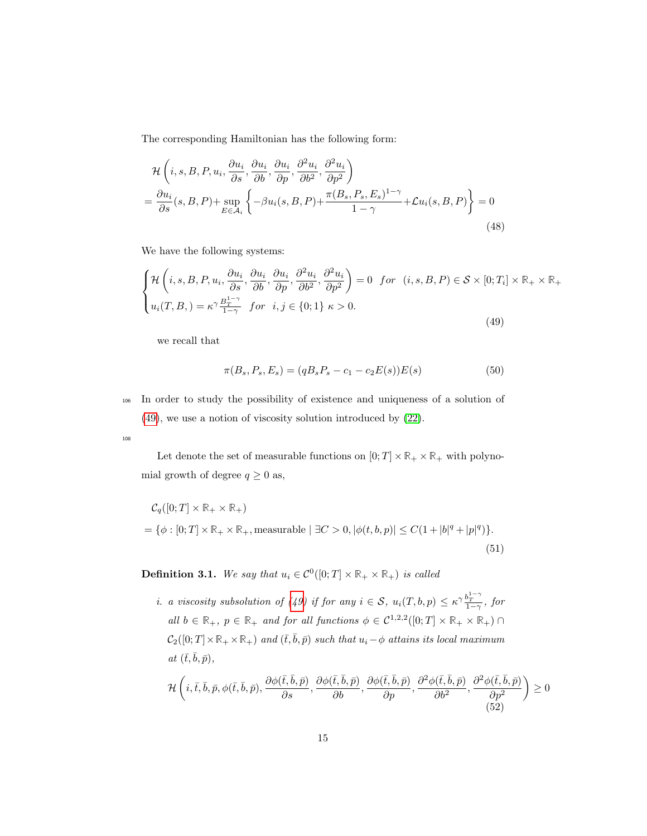The corresponding Hamiltonian has the following form:

$$
\mathcal{H}\left(i,s,B,P,u_i,\frac{\partial u_i}{\partial s},\frac{\partial u_i}{\partial b},\frac{\partial u_i}{\partial p},\frac{\partial^2 u_i}{\partial b^2},\frac{\partial^2 u_i}{\partial p^2}\right) = \frac{\partial u_i}{\partial s}(s,B,P) + \sup_{E \in \mathcal{A}_i} \left\{-\beta u_i(s,B,P) + \frac{\pi (B_s, P_s, E_s)^{1-\gamma}}{1-\gamma} + \mathcal{L}u_i(s,B,P)\right\} = 0
$$
\n(48)

We have the following systems:

$$
\begin{cases}\n\mathcal{H}\left(i,s,B,P,u_i,\frac{\partial u_i}{\partial s},\frac{\partial u_i}{\partial b},\frac{\partial u_i}{\partial p},\frac{\partial^2 u_i}{\partial b^2},\frac{\partial^2 u_i}{\partial p^2}\right) = 0 & \text{for } (i,s,B,P) \in \mathcal{S} \times [0;T_i] \times \mathbb{R}_+ \times \mathbb{R}_+ \\
u_i(T,B,) = \kappa^\gamma \frac{B_T^{1-\gamma}}{1-\gamma} & \text{for } i,j \in \{0;1\} \ \kappa > 0.\n\end{cases}
$$
\n(49)

we recall that

$$
\pi(B_s, P_s, E_s) = (qB_s P_s - c_1 - c_2 E(s))E(s)
$$
\n(50)

<sup>106</sup> In order to study the possibility of existence and uniqueness of a solution of

108

Let denote the set of measurable functions on  $[0; T] \times \mathbb{R}_+ \times \mathbb{R}_+$  with polynomial growth of degree  $q \geq 0$  as,

$$
C_q([0;T] \times \mathbb{R}_+ \times \mathbb{R}_+)
$$
  
= { $\phi$  : [0;T]  $\times$   $\mathbb{R}_+ \times \mathbb{R}_+$ , measurable |  $\exists C > 0$ ,  $|\phi(t, b, p)| \le C(1 + |b|^q + |p|^q)$  }. (51)

**Definition 3.1.** We say that  $u_i \in C^0([0; T] \times \mathbb{R}_+ \times \mathbb{R}_+)$  is called

*i.* a viscosity subsolution of (49) if for any  $i \in S$ ,  $u_i(T, b, p) \leq \kappa^{\gamma} \frac{b_T^{1-\gamma}}{1-\gamma}$ , for all  $b \in \mathbb{R}_+$ ,  $p \in \mathbb{R}_+$  and for all functions  $\phi \in C^{1,2,2}([0;T] \times \mathbb{R}_+ \times \mathbb{R}_+) \cap$  $C_2([0; T] \times \mathbb{R}_+ \times \mathbb{R}_+)$  and  $(\bar{t}, \bar{b}, \bar{p})$  such that  $u_i - \phi$  attains its local maximum at  $(\bar{t},\bar{b},\bar{p}),$ 

$$
\mathcal{H}\left(i,\bar{t},\bar{b},\bar{p},\phi(\bar{t},\bar{b},\bar{p}),\frac{\partial\phi(\bar{t},\bar{b},\bar{p})}{\partial s},\frac{\partial\phi(\bar{t},\bar{b},\bar{p})}{\partial b},\frac{\partial\phi(\bar{t},\bar{b},\bar{p})}{\partial p},\frac{\partial^2\phi(\bar{t},\bar{b},\bar{p})}{\partial b^2},\frac{\partial^2\phi(\bar{t},\bar{b},\bar{p})}{\partial p^2}\right)\geq 0
$$
\n(52)

<sup>(49)</sup>, we use a notion of viscosity solution introduced by (22).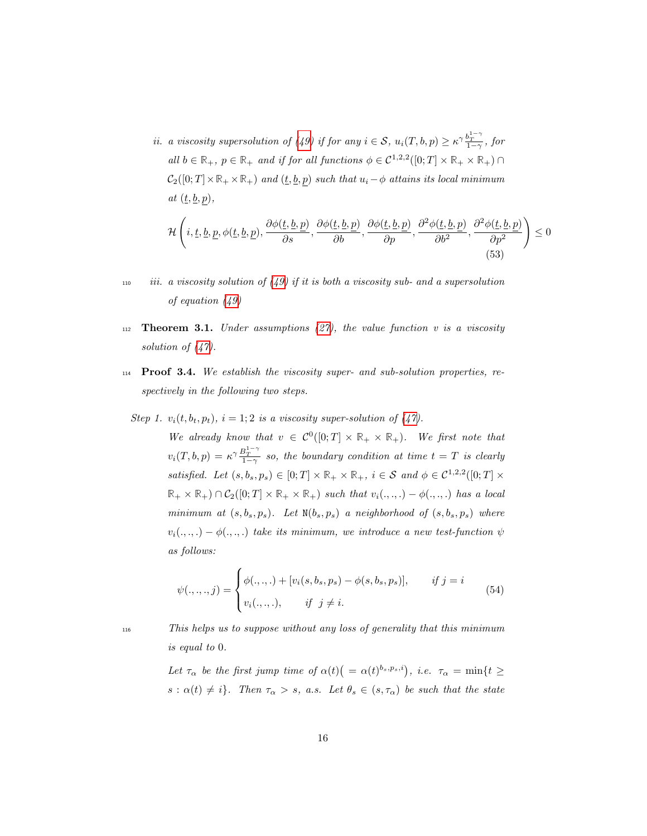*ii.* a viscosity supersolution of (49) if for any  $i \in S$ ,  $u_i(T, b, p) \geq \kappa^{\gamma} \frac{b_T^{1-\gamma}}{1-\gamma}$ , for all  $b \in \mathbb{R}_+$ ,  $p \in \mathbb{R}_+$  and if for all functions  $\phi \in C^{1,2,2}([0;T] \times \mathbb{R}_+ \times \mathbb{R}_+) \cap$  $C_2([0; T] \times \mathbb{R}_+ \times \mathbb{R}_+)$  and  $(\underline{t}, \underline{b}, p)$  such that  $u_i - \phi$  attains its local minimum at  $(\underline{t}, \underline{b}, p)$ ,

$$
\mathcal{H}\left(i,\underline{t},\underline{b},\underline{p},\phi(\underline{t},\underline{b},\underline{p}),\frac{\partial\phi(\underline{t},\underline{b},\underline{p})}{\partial s},\frac{\partial\phi(\underline{t},\underline{b},\underline{p})}{\partial b},\frac{\partial\phi(\underline{t},\underline{b},\underline{p})}{\partial p},\frac{\partial^2\phi(\underline{t},\underline{b},\underline{p})}{\partial b^2},\frac{\partial^2\phi(\underline{t},\underline{b},\underline{p})}{\partial p^2}\right) \leq 0
$$
\n(53)

- 110 iii. a viscosity solution of  $(49)$  if it is both a viscosity sub- and a supersolution of equation (49)
- 112 **Theorem 3.1.** Under assumptions  $(27)$ , the value function v is a viscosity solution of  $(47)$ .
- $114$  **Proof 3.4.** We establish the viscosity super- and sub-solution properties, respectively in the following two steps.
- Step 1.  $v_i(t, b_t, p_t)$ ,  $i = 1, 2$  is a viscosity super-solution of (47).

We already know that  $v \in C^0([0; T] \times \mathbb{R}_+ \times \mathbb{R}_+)$ . We first note that  $v_i(T, b, p) = \kappa^{\gamma} \frac{B_T^{1-\gamma}}{1-\gamma}$  so, the boundary condition at time  $t = T$  is clearly satisfied. Let  $(s, b_s, p_s) \in [0, T] \times \mathbb{R}_+ \times \mathbb{R}_+$ ,  $i \in \mathcal{S}$  and  $\phi \in \mathcal{C}^{1,2,2}([0, T] \times$  $\mathbb{R}_+ \times \mathbb{R}_+$ )  $\cap$   $\mathcal{C}_2([0;T] \times \mathbb{R}_+ \times \mathbb{R}_+)$  such that  $v_i(.,.,.) - \phi(.,.,.)$  has a local minimum at  $(s, b<sub>s</sub>, p<sub>s</sub>)$ . Let  $N(b<sub>s</sub>, p<sub>s</sub>)$  a neighborhood of  $(s, b<sub>s</sub>, p<sub>s</sub>)$  where  $v_i(.,.,.) - \phi(.,.,.)$  take its minimum, we introduce a new test-function  $\psi$ as follows:

$$
\psi(.,.,.,j) = \begin{cases} \phi(.,.,.) + [v_i(s, b_s, p_s) - \phi(s, b_s, p_s)], & \text{if } j = i \\ v_i(.,.,.,, & \text{if } j \neq i. \end{cases}
$$
(54)

<sup>116</sup> This helps us to suppose without any loss of generality that this minimum is equal to 0.

> Let  $\tau_{\alpha}$  be the first jump time of  $\alpha(t)$   $( = \alpha(t)^{b_s, p_s, i})$ , i.e.  $\tau_{\alpha} = \min\{t \geq 1\}$  $s : \alpha(t) \neq i$ . Then  $\tau_{\alpha} > s$ , a.s. Let  $\theta_s \in (s, \tau_{\alpha})$  be such that the state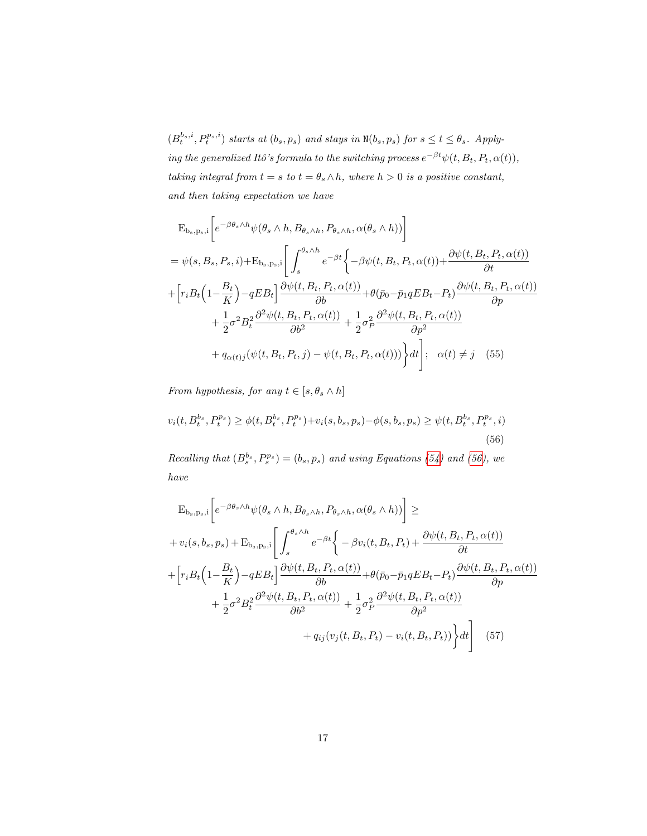$(B_t^{b_s,i}, P_t^{p_s,i})$  starts at  $(b_s, p_s)$  and stays in  $N(b_s, p_s)$  for  $s \le t \le \theta_s$ . Applying the generalized Itô's formula to the switching process  $e^{-\beta t}\psi(t, B_t, P_t, \alpha(t)),$ taking integral from  $t = s$  to  $t = \theta_s \wedge h$ , where  $h > 0$  is a positive constant, and then taking expectation we have

$$
E_{b_s, p_s, i} \left[ e^{-\beta \theta_s \wedge h} \psi(\theta_s \wedge h, B_{\theta_s \wedge h}, P_{\theta_s \wedge h}, \alpha(\theta_s \wedge h)) \right]
$$
  
\n
$$
= \psi(s, B_s, P_s, i) + E_{b_s, p_s, i} \left[ \int_s^{\theta_s \wedge h} e^{-\beta t} \left\{ -\beta \psi(t, B_t, P_t, \alpha(t)) + \frac{\partial \psi(t, B_t, P_t, \alpha(t))}{\partial t} \right\} \right]
$$
  
\n
$$
+ \left[ r_i B_t \left( 1 - \frac{B_t}{K} \right) - q E B_t \right] \frac{\partial \psi(t, B_t, P_t, \alpha(t))}{\partial b} + \theta(\bar{p}_0 - \bar{p}_1 q E B_t - P_t) \frac{\partial \psi(t, B_t, P_t, \alpha(t))}{\partial p} + \frac{1}{2} \sigma^2 B_t^2 \frac{\partial^2 \psi(t, B_t, P_t, \alpha(t))}{\partial b^2} + \frac{1}{2} \sigma^2 P \frac{\partial^2 \psi(t, B_t, P_t, \alpha(t))}{\partial p^2} + q_{\alpha(t)j} (\psi(t, B_t, P_t, j) - \psi(t, B_t, P_t, \alpha(t))) \right\} dt \Bigg]; \quad \alpha(t) \neq j \quad (55)
$$

From hypothesis, for any  $t \in [s, \theta_s \wedge h]$ 

$$
v_i(t, B_t^{b_s}, P_t^{p_s}) \ge \phi(t, B_t^{b_s}, P_t^{p_s}) + v_i(s, b_s, p_s) - \phi(s, b_s, p_s) \ge \psi(t, B_t^{b_s}, P_t^{p_s}, i)
$$
\n(56)

Recalling that  $(B_s^{b_s}, P_s^{p_s}) = (b_s, p_s)$  and using Equations (54) and (56), we have

$$
E_{b_s, p_s, i} \left[ e^{-\beta \theta_s \wedge h} \psi(\theta_s \wedge h, B_{\theta_s \wedge h}, P_{\theta_s \wedge h}, \alpha(\theta_s \wedge h)) \right] \ge
$$
  
+  $v_i(s, b_s, p_s) + E_{b_s, p_s, i} \left[ \int_s^{\theta_s \wedge h} e^{-\beta t} \left\{ -\beta v_i(t, B_t, P_t) + \frac{\partial \psi(t, B_t, P_t, \alpha(t))}{\partial t} \right\} \right]$   
+  $\left[ r_i B_t \left( 1 - \frac{B_t}{K} \right) - q E B_t \right] \frac{\partial \psi(t, B_t, P_t, \alpha(t))}{\partial b} + \theta(\bar{p}_0 - \bar{p}_1 q E B_t - P_t) \frac{\partial \psi(t, B_t, P_t, \alpha(t))}{\partial p} \right]$   
+  $\frac{1}{2} \sigma^2 B_t^2 \frac{\partial^2 \psi(t, B_t, P_t, \alpha(t))}{\partial b^2} + \frac{1}{2} \sigma_P^2 \frac{\partial^2 \psi(t, B_t, P_t, \alpha(t))}{\partial p^2} \right]$   
+  $q_{ij}(v_j(t, B_t, P_t) - v_i(t, B_t, P_t)) \left\} dt \right]$  (57)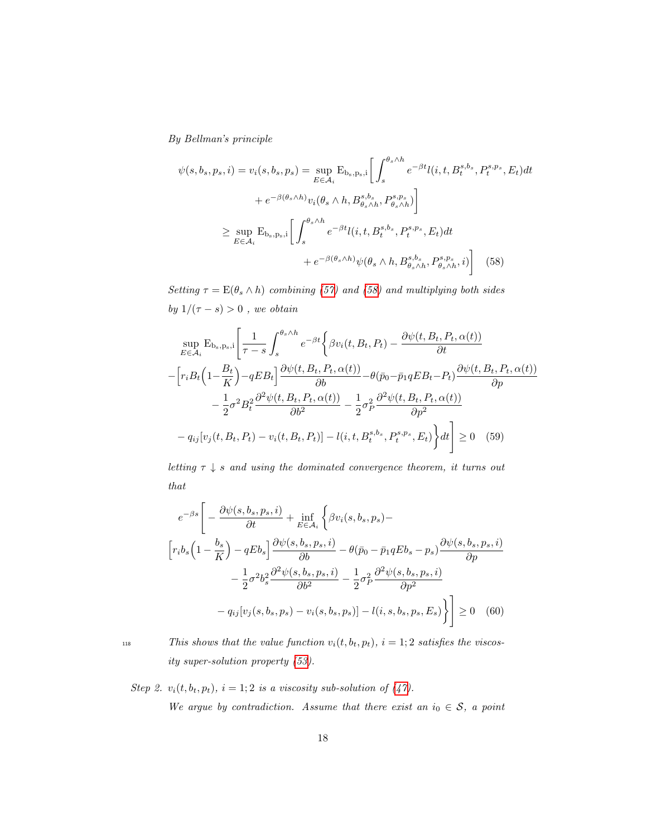By Bellman's principle

$$
\psi(s, b_s, p_s, i) = v_i(s, b_s, p_s) = \sup_{E \in \mathcal{A}_i} E_{b_s, p_s, i} \left[ \int_s^{\theta_s \wedge h} e^{-\beta t} l(i, t, B_t^{s, b_s}, P_t^{s, p_s}, E_t) dt \right. \left. + e^{-\beta(\theta_s \wedge h)} v_i(\theta_s \wedge h, B_{\theta_s \wedge h}^{s, b_s}, P_{\theta_s \wedge h}^{s, p_s}) \right] \ge \sup_{E \in \mathcal{A}_i} E_{b_s, p_s, i} \left[ \int_s^{\theta_s \wedge h} e^{-\beta t} l(i, t, B_t^{s, b_s}, P_t^{s, p_s}, E_t) dt \right. \left. + e^{-\beta(\theta_s \wedge h)} \psi(\theta_s \wedge h, B_{\theta_s \wedge h}^{s, b_s}, P_{\theta_s \wedge h}^{s, p_s}, i) \right] \tag{58}
$$

Setting  $\tau = \mathbb{E}(\theta_s \wedge h)$  combining (57) and (58) and multiplying both sides by  $1/(\tau - s) > 0$ , we obtain

$$
\sup_{E \in \mathcal{A}_i} \mathbf{E}_{\mathbf{b}_s, \mathbf{p}_s, i} \left[ \frac{1}{\tau - s} \int_s^{\theta_s \wedge h} e^{-\beta t} \left\{ \beta v_i(t, B_t, P_t) - \frac{\partial \psi(t, B_t, P_t, \alpha(t))}{\partial t} \right. \right.\left. - \left[ r_i B_t \left( 1 - \frac{B_t}{K} \right) - q E B_t \right] \frac{\partial \psi(t, B_t, P_t, \alpha(t))}{\partial b} - \theta (\bar{p}_0 - \bar{p}_1 q E B_t - P_t) \frac{\partial \psi(t, B_t, P_t, \alpha(t))}{\partial p} \right. \right.\left. - \frac{1}{2} \sigma^2 B_t^2 \frac{\partial^2 \psi(t, B_t, P_t, \alpha(t))}{\partial b^2} - \frac{1}{2} \sigma_P^2 \frac{\partial^2 \psi(t, B_t, P_t, \alpha(t))}{\partial p^2} \right.\left. - q_{ij} [v_j(t, B_t, P_t) - v_i(t, B_t, P_t)] - l(i, t, B_t^{s, b_s}, P_t^{s, p_s}, E_t) \right\} dt \right] \ge 0 \quad (59)
$$

letting  $\tau \downarrow s$  and using the dominated convergence theorem, it turns out that

$$
e^{-\beta s} \left[ -\frac{\partial \psi(s, b_s, p_s, i)}{\partial t} + \inf_{E \in \mathcal{A}_i} \left\{ \beta v_i(s, b_s, p_s) - \left[ r_i b_s \left( 1 - \frac{b_s}{K} \right) - q E b_s \right] \frac{\partial \psi(s, b_s, p_s, i)}{\partial b} - \theta (\bar{p}_0 - \bar{p}_1 q E b_s - p_s) \frac{\partial \psi(s, b_s, p_s, i)}{\partial p} \right] - \frac{1}{2} \sigma^2 b_s^2 \frac{\partial^2 \psi(s, b_s, p_s, i)}{\partial b^2} - \frac{1}{2} \sigma^2 p \frac{\partial^2 \psi(s, b_s, p_s, i)}{\partial p^2} - q_{ij} [v_j(s, b_s, p_s) - v_i(s, b_s, p_s)] - l(i, s, b_s, p_s, E_s) \right\} \right] \ge 0 \quad (60)
$$

118 This shows that the value function  $v_i(t, b_t, p_t)$ ,  $i = 1, 2$  satisfies the viscosity super-solution property (53).

Step 2.  $v_i(t, b_t, p_t)$ ,  $i = 1; 2$  is a viscosity sub-solution of (47). We argue by contradiction. Assume that there exist an  $i_0 \in S$ , a point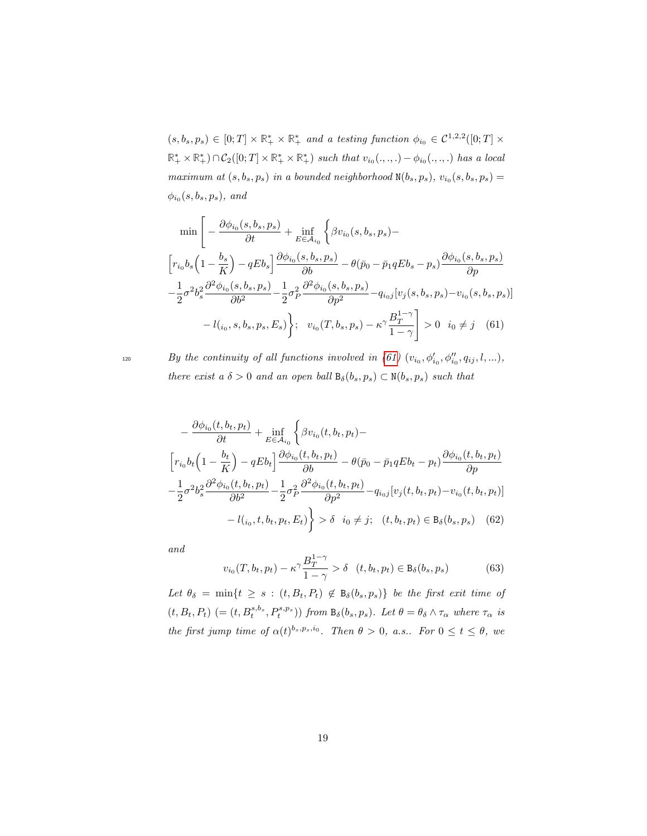$(s, b_s, p_s) \in [0; T] \times \mathbb{R}_+^* \times \mathbb{R}_+^*$  and a testing function  $\phi_{i_0} \in C^{1,2,2}([0; T] \times$  $\mathbb{R}_+^* \times \mathbb{R}_+^* \cap C_2([0;T] \times \mathbb{R}_+^* \times \mathbb{R}_+^*)$  such that  $v_{i_0}(\ldots, \ldots) - \phi_{i_0}(\ldots, \ldots)$  has a local maximum at  $(s, b_s, p_s)$  in a bounded neighborhood  $N(b_s, p_s)$ ,  $v_{i_0}(s, b_s, p_s) =$  $\phi_{i_0}(s, b_s, p_s)$ , and

$$
\min \left[ -\frac{\partial \phi_{i_0}(s, b_s, p_s)}{\partial t} + \inf_{E \in \mathcal{A}_{i_0}} \left\{ \beta v_{i_0}(s, b_s, p_s) - \right\}\n \left[ r_{i_0} b_s \left( 1 - \frac{b_s}{K} \right) - qEb_s \right] \frac{\partial \phi_{i_0}(s, b_s, p_s)}{\partial b} - \theta(\bar{p}_0 - \bar{p}_1 qEb_s - p_s) \frac{\partial \phi_{i_0}(s, b_s, p_s)}{\partial p}\n - \frac{1}{2} \sigma^2 b_s^2 \frac{\partial^2 \phi_{i_0}(s, b_s, p_s)}{\partial b^2} - \frac{1}{2} \sigma^2 \frac{\partial^2 \phi_{i_0}(s, b_s, p_s)}{\partial p^2} - q_{i_0j} [v_j(s, b_s, p_s) - v_{i_0}(s, b_s, p_s)]\n - l_{i_0}, s, b_s, p_s, E_s \right); \quad v_{i_0}(T, b_s, p_s) - \kappa^{\gamma} \frac{B_T^{1-\gamma}}{1-\gamma} > 0 \quad i_0 \neq j \quad (61)
$$

 $By the continuity of all functions involved in (61) (v_{i_0}, \phi'_{i_0}, \phi''_{i_0}, q_{ij}, l, ...),$ there exist a  $\delta > 0$  and an open ball  $B_{\delta}(b_s, p_s) \subset N(b_s, p_s)$  such that

$$
-\frac{\partial \phi_{i_0}(t, b_t, p_t)}{\partial t} + \inf_{E \in \mathcal{A}_{i_0}} \left\{ \beta v_{i_0}(t, b_t, p_t) - \left[ r_{i_0} b_t \left( 1 - \frac{b_t}{K} \right) - qE b_t \right] \frac{\partial \phi_{i_0}(t, b_t, p_t)}{\partial b} - \theta (\bar{p}_0 - \bar{p}_1 q E b_t - p_t) \frac{\partial \phi_{i_0}(t, b_t, p_t)}{\partial p} - \frac{1}{2} \sigma^2 b_s^2 \frac{\partial^2 \phi_{i_0}(t, b_t, p_t)}{\partial b^2} - \frac{1}{2} \sigma^2 \frac{\partial^2 \phi_{i_0}(t, b_t, p_t)}{\partial p^2} - q_{i_0 j} [v_j(t, b_t, p_t) - v_{i_0}(t, b_t, p_t)] - l_{i_0}, t, b_t, p_t, E_t) \right\} > \delta \quad i_0 \neq j; \quad (t, b_t, p_t) \in B_{\delta}(b_s, p_s) \quad (62)
$$

and

$$
v_{i_0}(T, b_t, p_t) - \kappa^{\gamma} \frac{B_T^{1-\gamma}}{1-\gamma} > \delta \quad (t, b_t, p_t) \in B_{\delta}(b_s, p_s)
$$
 (63)

Let  $\theta_{\delta} = \min\{t \geq s : (t, B_t, P_t) \notin B_{\delta}(b_s, p_s)\}\$ be the first exit time of  $(t, B_t, P_t)$   $(=(t, B_t^{s,b_s}, P_t^{s,p_s}))$  from  $B_\delta(b_s, p_s)$ . Let  $\theta = \theta_\delta \wedge \tau_\alpha$  where  $\tau_\alpha$  is the first jump time of  $\alpha(t)^{b_s,p_s,i_0}$ . Then  $\theta > 0$ , a.s.. For  $0 \le t \le \theta$ , we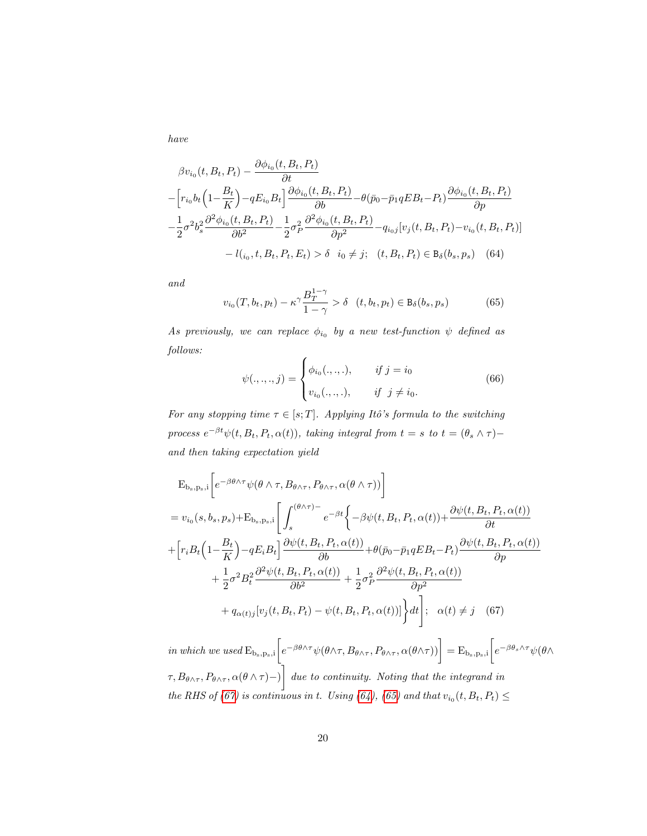have

$$
\beta v_{i_0}(t, B_t, P_t) - \frac{\partial \phi_{i_0}(t, B_t, P_t)}{\partial t} \n- \left[ r_{i_0} b_t \left( 1 - \frac{B_t}{K} \right) - q E_{i_0} B_t \right] \frac{\partial \phi_{i_0}(t, B_t, P_t)}{\partial b} - \theta (\bar{p}_0 - \bar{p}_1 q E B_t - P_t) \frac{\partial \phi_{i_0}(t, B_t, P_t)}{\partial p} \n- \frac{1}{2} \sigma^2 b_s^2 \frac{\partial^2 \phi_{i_0}(t, B_t, P_t)}{\partial b^2} - \frac{1}{2} \sigma_P^2 \frac{\partial^2 \phi_{i_0}(t, B_t, P_t)}{\partial p^2} - q_{i_0 j} [v_j(t, B_t, P_t) - v_{i_0}(t, B_t, P_t)] \n- l(t_{i_0}, t, B_t, P_t, E_t) > \delta \quad i_0 \neq j; \quad (t, B_t, P_t) \in B_{\delta}(b_s, p_s) \quad (64)
$$

and

$$
v_{i_0}(T, b_t, p_t) - \kappa^\gamma \frac{B_T^{1-\gamma}}{1-\gamma} > \delta \quad (t, b_t, p_t) \in B_\delta(b_s, p_s)
$$
 (65)

As previously, we can replace  $\phi_{i_0}$  by a new test-function  $\psi$  defined as follows:

$$
\psi(.,.,.,j) = \begin{cases} \phi_{i_0}(.,.,.), & \text{if } j = i_0 \\ v_{i_0}(.,.,.), & \text{if } j \neq i_0. \end{cases}
$$
 (66)

For any stopping time  $\tau \in [s; T]$ . Applying Itô's formula to the switching process  $e^{-\beta t}\psi(t, B_t, P_t, \alpha(t))$ , taking integral from  $t = s$  to  $t = (\theta_s \wedge \tau)$ and then taking expectation yield

$$
E_{b_s, p_s, i} \left[ e^{-\beta \theta \wedge \tau} \psi(\theta \wedge \tau, B_{\theta \wedge \tau}, P_{\theta \wedge \tau}, \alpha(\theta \wedge \tau)) \right]
$$
  
\n
$$
= v_{i_0}(s, b_s, p_s) + E_{b_s, p_s, i} \left[ \int_s^{(\theta \wedge \tau) -} e^{-\beta t} \left\{ -\beta \psi(t, B_t, P_t, \alpha(t)) + \frac{\partial \psi(t, B_t, P_t, \alpha(t))}{\partial t} \right\} \right]
$$
  
\n
$$
+ \left[ r_i B_t \left( 1 - \frac{B_t}{K} \right) - q E_i B_t \right] \frac{\partial \psi(t, B_t, P_t, \alpha(t))}{\partial b} + \theta(\bar{p}_0 - \bar{p}_1 q E B_t - P_t) \frac{\partial \psi(t, B_t, P_t, \alpha(t))}{\partial p} + \frac{1}{2} \sigma^2 B_t^2 \frac{\partial^2 \psi(t, B_t, P_t, \alpha(t))}{\partial b^2} + \frac{1}{2} \sigma^2 \frac{\partial^2 \psi(t, B_t, P_t, \alpha(t))}{\partial p^2} + q_{\alpha(t)j} [v_j(t, B_t, P_t) - \psi(t, B_t, P_t, \alpha(t))] \right\} dt \Big]; \alpha(t) \neq j \quad (67)
$$

in which we used  $E_{b_s, p_s, i} \left[ e^{-\beta \theta \wedge \tau} \psi(\theta \wedge \tau, B_{\theta \wedge \tau}, P_{\theta \wedge \tau}, \alpha(\theta \wedge \tau) \right] = E_{b_s, p_s, i} \left[ e^{-\beta \theta_s \wedge \tau} \psi(\theta \wedge \tau, B_{\theta \wedge \tau}, P_{\theta \wedge \tau}, P_{\theta \wedge \tau}, P_{\theta \wedge \tau}, P_{\theta \wedge \tau} \right]$  $\left[\tau,B_{\theta\wedge\tau},P_{\theta\wedge\tau},\alpha(\theta\wedge\tau)-\right]$  due to continuity. Noting that the integrand in the RHS of (67) is continuous in t. Using (64), (65) and that  $v_{i_0}(t, B_t, P_t) \le$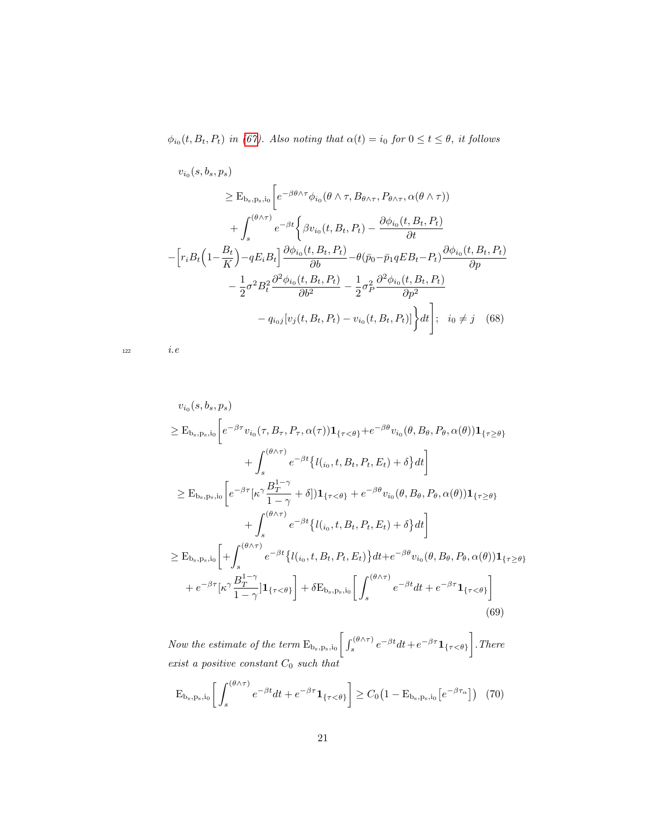$\phi_{i_0}(t, B_t, P_t)$  in (67). Also noting that  $\alpha(t) = i_0$  for  $0 \le t \le \theta$ , it follows

$$
v_{i_0}(s, b_s, p_s)
$$
  
\n
$$
\geq E_{b_s, p_s, i_0} \left[ e^{-\beta \theta \wedge \tau} \phi_{i_0}(\theta \wedge \tau, B_{\theta \wedge \tau}, P_{\theta \wedge \tau}, \alpha(\theta \wedge \tau))
$$
  
\n
$$
+ \int_s^{(\theta \wedge \tau)} e^{-\beta t} \left\{ \beta v_{i_0}(t, B_t, P_t) - \frac{\partial \phi_{i_0}(t, B_t, P_t)}{\partial t} \right\}
$$
  
\n
$$
- \left[ r_i B_t \left( 1 - \frac{B_t}{K} \right) - q E_i B_t \right] \frac{\partial \phi_{i_0}(t, B_t, P_t)}{\partial b} - \theta (\bar{p}_0 - \bar{p}_1 q E B_t - P_t) \frac{\partial \phi_{i_0}(t, B_t, P_t)}{\partial p}
$$
  
\n
$$
- \frac{1}{2} \sigma^2 B_t^2 \frac{\partial^2 \phi_{i_0}(t, B_t, P_t)}{\partial b^2} - \frac{1}{2} \sigma_p^2 \frac{\partial^2 \phi_{i_0}(t, B_t, P_t)}{\partial p^2}
$$
  
\n
$$
- q_{i_0 j} [v_j(t, B_t, P_t) - v_{i_0}(t, B_t, P_t)] \right\} dt \Bigg]; \quad i_0 \neq j \quad (68)
$$

122  $i.e$ 

$$
v_{i_0}(s, b_s, p_s)
$$
  
\n
$$
\geq E_{b_{s, p_s, i_0}} \left[ e^{-\beta \tau} v_{i_0}(\tau, B_{\tau}, P_{\tau}, \alpha(\tau)) \mathbf{1}_{\{\tau < \theta\}} + e^{-\beta \theta} v_{i_0}(\theta, B_{\theta}, P_{\theta}, \alpha(\theta)) \mathbf{1}_{\{\tau \geq \theta\}} + \int_s^{(\theta \wedge \tau)} e^{-\beta t} \{l(i_0, t, B_t, P_t, E_t) + \delta\} dt \right]
$$
  
\n
$$
\geq E_{b_{s, p_s, i_0}} \left[ e^{-\beta \tau} [\kappa^{\gamma} \frac{B_T^{1-\gamma}}{1-\gamma} + \delta] \mathbf{1}_{\{\tau < \theta\}} + e^{-\beta \theta} v_{i_0}(\theta, B_{\theta}, P_{\theta}, \alpha(\theta)) \mathbf{1}_{\{\tau \geq \theta\}} + \int_s^{(\theta \wedge \tau)} e^{-\beta t} \{l(i_0, t, B_t, P_t, E_t) + \delta\} dt \right]
$$
  
\n
$$
\geq E_{b_{s, p_s, i_0}} \left[ + \int_s^{(\theta \wedge \tau)} e^{-\beta t} \{l(i_0, t, B_t, P_t, E_t)\} dt + e^{-\beta \theta} v_{i_0}(\theta, B_{\theta}, P_{\theta}, \alpha(\theta)) \mathbf{1}_{\{\tau \geq \theta\}} + e^{-\beta \tau} [\kappa^{\gamma} \frac{B_T^{1-\gamma}}{1-\gamma}] \mathbf{1}_{\{\tau < \theta\}} \right] + \delta E_{b_{s, p_s, i_0}} \left[ \int_s^{(\theta \wedge \tau)} e^{-\beta t} dt + e^{-\beta \tau} \mathbf{1}_{\{\tau < \theta\}} \right]
$$
  
\n(69)

Now the estimate of the term  $E_{b_s, p_s, i_0} \left[ \int_s^{(\theta \wedge \tau)} e^{-\beta t} dt + e^{-\beta \tau} \mathbf{1}_{\{\tau < \theta\}} \right]$ . There exist a positive constant  $C_0$  such that

$$
E_{b_s, p_s, i_0} \left[ \int_s^{(\theta \wedge \tau)} e^{-\beta t} dt + e^{-\beta \tau} \mathbf{1}_{\{\tau < \theta\}} \right] \ge C_0 \left( 1 - E_{b_s, p_s, i_0} \left[ e^{-\beta \tau_\alpha} \right] \right) (70)
$$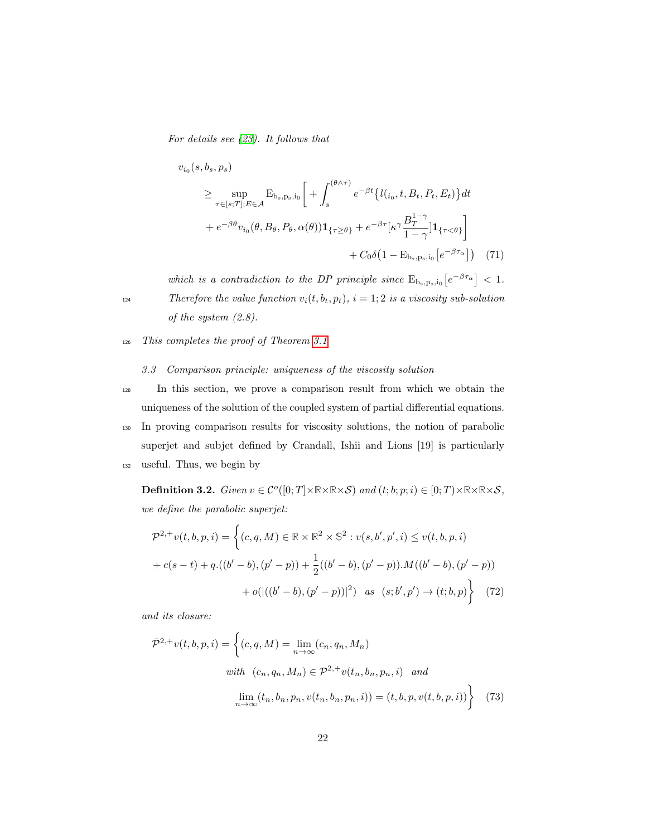For details see (23). It follows that

$$
v_{i_0}(s, b_s, p_s)
$$
  
\n
$$
\geq \sup_{\tau \in [s;T]; E \in \mathcal{A}} \mathcal{E}_{b_s, p_s, i_0} \left[ + \int_s^{(\theta \wedge \tau)} e^{-\beta t} \{ l(i_0, t, B_t, P_t, E_t) \} dt + e^{-\beta \theta} v_{i_0}(\theta, B_\theta, P_\theta, \alpha(\theta)) \mathbf{1}_{\{\tau \geq \theta\}} + e^{-\beta \tau} [\kappa^\gamma \frac{B_T^{1-\gamma}}{1-\gamma}] \mathbf{1}_{\{\tau < \theta\}} \right] + C_0 \delta \left( 1 - \mathcal{E}_{b_s, p_s, i_0} \left[ e^{-\beta \tau_\alpha} \right] \right) \tag{71}
$$

which is a contradiction to the DP principle since  $E_{b_s, p_s, i_0} \left[ e^{-\beta \tau_\alpha} \right] < 1$ . 124 Therefore the value function  $v_i(t, b_t, p_t)$ ,  $i = 1, 2$  is a viscosity sub-solution of the system (2.8).

<sup>126</sup> This completes the proof of Theorem 3.1

#### 3.3 Comparison principle: uniqueness of the viscosity solution

<sup>128</sup> In this section, we prove a comparison result from which we obtain the uniqueness of the solution of the coupled system of partial differential equations.

<sup>130</sup> In proving comparison results for viscosity solutions, the notion of parabolic superjet and subjet defined by Crandall, Ishii and Lions [19] is particularly

<sup>132</sup> useful. Thus, we begin by

**Definition 3.2.** Given  $v \in C^o([0; T] \times \mathbb{R} \times \mathbb{R} \times S)$  and  $(t; b; p; i) \in [0; T] \times \mathbb{R} \times \mathbb{R} \times S$ , we define the parabolic superjet:

$$
\mathcal{P}^{2,+}v(t,b,p,i) = \left\{ (c,q,M) \in \mathbb{R} \times \mathbb{R}^2 \times \mathbb{S}^2 : v(s,b',p',i) \le v(t,b,p,i) \right. \\
\left. + c(s-t) + q.((b'-b),(p'-p)) + \frac{1}{2}((b'-b),(p'-p)).M((b'-b),(p'-p)) + o(((b'-b),(p'-p))]^2) \text{ as } (s,b',p') \to (t,b,p) \right\} \tag{72}
$$

and its closure:

$$
\bar{\mathcal{P}}^{2,+}v(t,b,p,i) = \left\{ (c,q,M) = \lim_{n \to \infty} (c_n, q_n, M_n) \right\}
$$
  
with  $(c_n, q_n, M_n) \in \mathcal{P}^{2,+}v(t_n, b_n, p_n, i)$  and  

$$
\lim_{n \to \infty} (t_n, b_n, p_n, v(t_n, b_n, p_n, i)) = (t, b, p, v(t, b, p, i)) \right\}
$$
(73)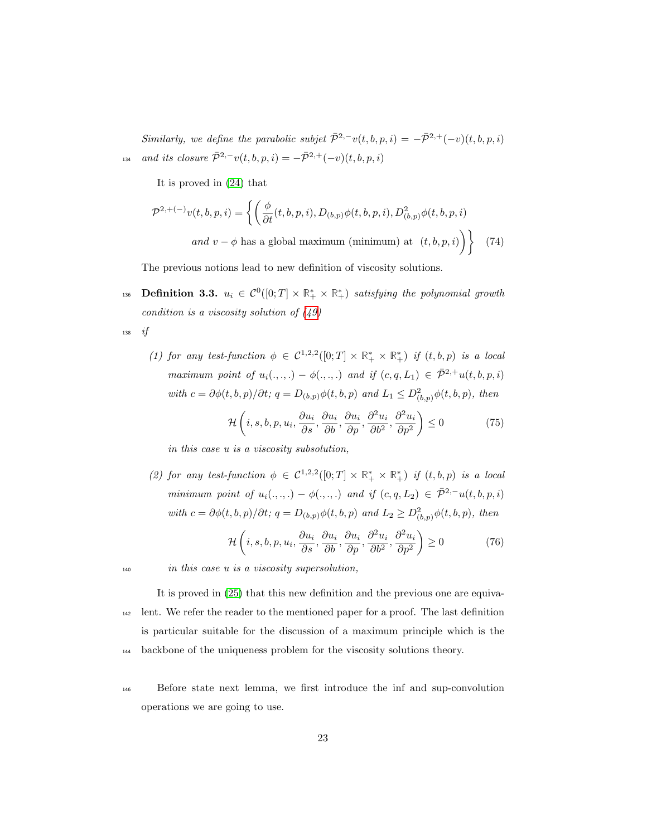Similarly, we define the parabolic subjet  $\bar{\mathcal{P}}^{2,-}v(t,b,p,i) = -\bar{\mathcal{P}}^{2,+}(-v)(t,b,p,i)$ 134 and its closure  $\bar{\mathcal{P}}^{2,-}v(t,b,p,i) = -\bar{\mathcal{P}}^{2,+}(-v)(t,b,p,i)$ 

It is proved in (24) that

$$
\mathcal{P}^{2,+(-)}v(t,b,p,i) = \left\{ \left( \frac{\phi}{\partial t}(t,b,p,i), D_{(b,p)}\phi(t,b,p,i), D_{(b,p)}^2\phi(t,b,p,i) \right) \right\}
$$
  
and  $v - \phi$  has a global maximum (minimum) at  $(t,b,p,i)$  (74)

The previous notions lead to new definition of viscosity solutions.

136 **Definition 3.3.**  $u_i \in C^0([0; T] \times \mathbb{R}_+^* \times \mathbb{R}_+^*)$  satisfying the polynomial growth condition is a viscosity solution of  $(49)$ 

<sup>138</sup> if

(1) for any test-function  $\phi \in C^{1,2,2}([0;T] \times \mathbb{R}_+^* \times \mathbb{R}_+^*)$  if  $(t,b,p)$  is a local maximum point of  $u_i(.,.,.) - \phi(.,.,.)$  and if  $(c, q, L_1) \in \overline{\mathcal{P}}^{2,+}u(t, b, p, i)$ with  $c = \partial \phi(t, b, p)/\partial t$ ;  $q = D_{(b,p)}\phi(t, b, p)$  and  $L_1 \leq D^2_{(b,p)}\phi(t, b, p)$ , then

$$
\mathcal{H}\left(i,s,b,p,u_i,\frac{\partial u_i}{\partial s},\frac{\partial u_i}{\partial b},\frac{\partial u_i}{\partial p},\frac{\partial^2 u_i}{\partial b^2},\frac{\partial^2 u_i}{\partial p^2}\right) \le 0\tag{75}
$$

in this case u is a viscosity subsolution,

(2) for any test-function  $\phi \in C^{1,2,2}([0;T] \times \mathbb{R}_+^* \times \mathbb{R}_+^*)$  if  $(t,b,p)$  is a local minimum point of  $u_i(.,.,.) - \phi(.,.,.)$  and if  $(c, q, L_2) \in \bar{\mathcal{P}}^{2,-}u(t, b, p, i)$ with  $c = \partial \phi(t, b, p)/\partial t$ ;  $q = D_{(b,p)}\phi(t, b, p)$  and  $L_2 \geq D^2_{(b,p)}\phi(t, b, p)$ , then

$$
\mathcal{H}\left(i,s,b,p,u_i,\frac{\partial u_i}{\partial s},\frac{\partial u_i}{\partial b},\frac{\partial u_i}{\partial p},\frac{\partial^2 u_i}{\partial b^2},\frac{\partial^2 u_i}{\partial p^2}\right) \ge 0\tag{76}
$$

<sup>140</sup> in this case u is a viscosity supersolution,

It is proved in (25) that this new definition and the previous one are equiva-<sup>142</sup> lent. We refer the reader to the mentioned paper for a proof. The last definition is particular suitable for the discussion of a maximum principle which is the <sup>144</sup> backbone of the uniqueness problem for the viscosity solutions theory.

<sup>146</sup> Before state next lemma, we first introduce the inf and sup-convolution operations we are going to use.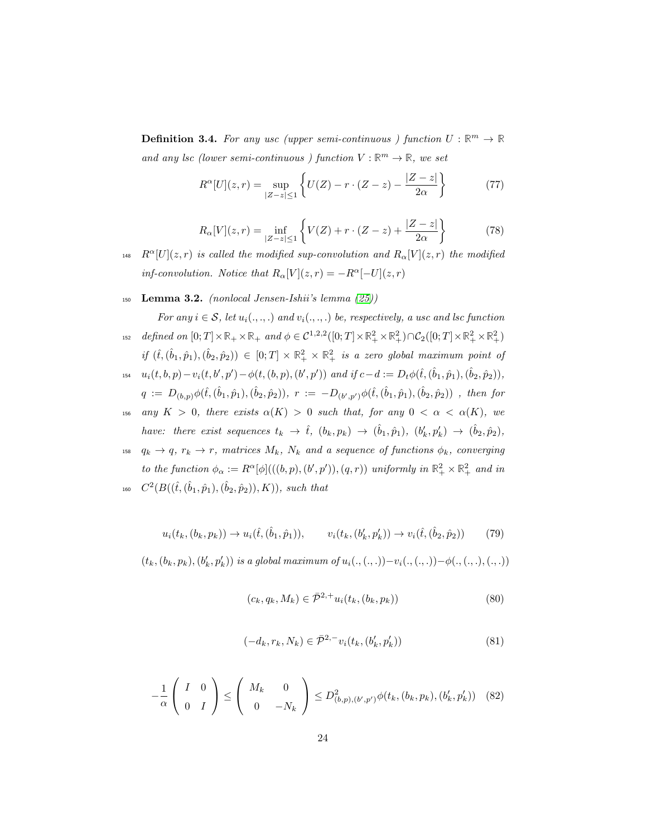**Definition 3.4.** For any usc (upper semi-continuous ) function  $U : \mathbb{R}^m \to \mathbb{R}$ and any lsc (lower semi-continuous ) function  $V : \mathbb{R}^m \to \mathbb{R}$ , we set

$$
R^{\alpha}[U](z,r) = \sup_{|Z-z| \le 1} \left\{ U(Z) - r \cdot (Z-z) - \frac{|Z-z|}{2\alpha} \right\} \tag{77}
$$

$$
R_{\alpha}[V](z,r) = \inf_{|Z-z| \le 1} \left\{ V(Z) + r \cdot (Z-z) + \frac{|Z-z|}{2\alpha} \right\}
$$
(78)

- <sup>148</sup>  $R^{\alpha}[U](z, r)$  is called the modified sup-convolution and  $R_{\alpha}[V](z, r)$  the modified inf-convolution. Notice that  $R_{\alpha}[V](z,r) = -R^{\alpha}[-U](z,r)$
- 150 Lemma 3.2. (nonlocal Jensen-Ishii's lemma  $(25)$ )

For any  $i \in \mathcal{S}$ , let  $u_i(.,.,.)$  and  $v_i(.,.,.)$  be, respectively, a usc and lsc function 152 defined on  $[0; T] \times \mathbb{R}_+ \times \mathbb{R}_+$  and  $\phi \in C^{1,2,2}([0; T] \times \mathbb{R}_+^2 \times \mathbb{R}_+^2) \cap C_2([0; T] \times \mathbb{R}_+^2 \times \mathbb{R}_+^2)$ 

- $if (\hat{t}, (\hat{b}_1, \hat{p}_1), (\hat{b}_2, \hat{p}_2)) \in [0, T] \times \mathbb{R}^2_+ \times \mathbb{R}^2_+$  is a zero global maximum point of 154  $u_i(t, b, p) - v_i(t, b', p') - \phi(t, (b, p), (b', p'))$  and if  $c - d := D_t \phi(\hat{t}, (\hat{b}_1, \hat{p}_1), (\hat{b}_2, \hat{p}_2)),$  $q := D_{(b,p)} \phi(\hat{t}, (\hat{b}_1, \hat{p}_1), (\hat{b}_2, \hat{p}_2)), r := -D_{(b',p')}\phi(\hat{t}, (\hat{b}_1, \hat{p}_1), (\hat{b}_2, \hat{p}_2))$ , then for
- 156 any  $K > 0$ , there exists  $\alpha(K) > 0$  such that, for any  $0 < \alpha < \alpha(K)$ , we have: there exist sequences  $t_k \to \hat{t}$ ,  $(b_k, p_k) \to (\hat{b}_1, \hat{p}_1)$ ,  $(b'_k, p'_k) \to (\hat{b}_2, \hat{p}_2)$ ,
- <sup>158</sup>  $q_k \rightarrow q$ ,  $r_k \rightarrow r$ , matrices  $M_k$ ,  $N_k$  and a sequence of functions  $\phi_k$ , converging to the function  $\phi_{\alpha} := R^{\alpha}[\phi](((b, p), (b', p')), (q, r))$  uniformly in  $\mathbb{R}^2_+ \times \mathbb{R}^2_+$  and in
- $C^2(B((\hat{t},(\hat{b}_1,\hat{p}_1),(\hat{b}_2,\hat{p}_2)), K))$ , such that

$$
u_i(t_k, (b_k, p_k)) \to u_i(\hat{t}, (\hat{b}_1, \hat{p}_1)), \qquad v_i(t_k, (b'_k, p'_k)) \to v_i(\hat{t}, (\hat{b}_2, \hat{p}_2)) \tag{79}
$$

 $(t_k,(b_k,p_k),(b_k',p_k'))$  is a global maximum of  $u_i(.,(.,.))-v_i(.,(.,.))- \phi(.,(.,.),(.,.))$ 

$$
(c_k, q_k, M_k) \in \bar{\mathcal{P}}^{2,+} u_i(t_k, (b_k, p_k))
$$
\n(80)

$$
(-d_k, r_k, N_k) \in \bar{\mathcal{P}}^{2,-} v_i(t_k, (b'_k, p'_k))
$$
\n(81)

$$
-\frac{1}{\alpha} \left( \begin{array}{cc} I & 0 \\ 0 & I \end{array} \right) \le \left( \begin{array}{cc} M_k & 0 \\ 0 & -N_k \end{array} \right) \le D^2_{(b,p),(b',p')} \phi(t_k,(b_k,p_k),(b'_k,p'_k)) \tag{82}
$$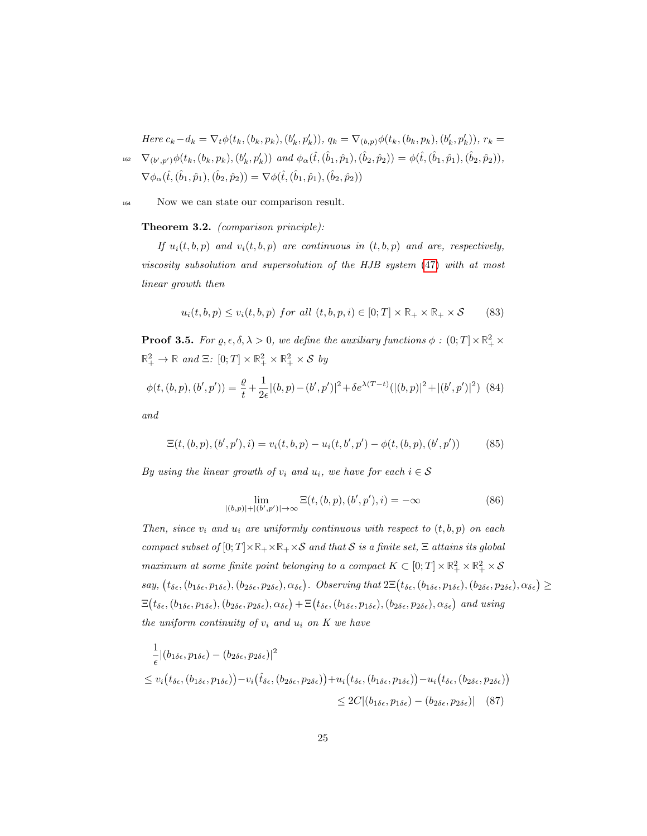Here  $c_k - d_k = \nabla_t \phi(t_k, (b_k, p_k), (b'_k, p'_k)), q_k = \nabla_{(b,p)} \phi(t_k, (b_k, p_k), (b'_k, p'_k)), r_k =$  $\nabla_{(b',p')}\phi(t_k,(b_k,p_k),(b'_k,p'_k))$  and  $\phi_{\alpha}(\hat{t},(\hat{b}_1,\hat{p}_1),(\hat{b}_2,\hat{p}_2)) = \phi(\hat{t},(\hat{b}_1,\hat{p}_1),(\hat{b}_2,\hat{p}_2)),$  $\nabla \phi_{\alpha}(\hat{t}, (\hat{b}_1, \hat{p}_1), (\hat{b}_2, \hat{p}_2)) = \nabla \phi(\hat{t}, (\hat{b}_1, \hat{p}_1), (\hat{b}_2, \hat{p}_2))$ 

<sup>164</sup> Now we can state our comparison result.

Theorem 3.2. (comparison principle):

If  $u_i(t, b, p)$  and  $v_i(t, b, p)$  are continuous in  $(t, b, p)$  and are, respectively, viscosity subsolution and supersolution of the HJB system (47) with at most linear growth then

$$
u_i(t, b, p) \le v_i(t, b, p) \text{ for all } (t, b, p, i) \in [0; T] \times \mathbb{R}_+ \times \mathbb{R}_+ \times \mathcal{S} \tag{83}
$$

**Proof 3.5.** For  $\varrho, \epsilon, \delta, \lambda > 0$ , we define the auxiliary functions  $\phi : (0; T] \times \mathbb{R}^2_+ \times$  $\mathbb{R}^2_+ \to \mathbb{R}$  and  $\Xi$ :  $[0;T] \times \mathbb{R}^2_+ \times \mathbb{R}^2_+ \times \mathcal{S}$  by

$$
\phi(t,(b,p),(b',p')) = \frac{\varrho}{t} + \frac{1}{2\epsilon} |(b,p) - (b',p')|^2 + \delta e^{\lambda(T-t)} (|(b,p)|^2 + |(b',p')|^2) \tag{84}
$$

and

$$
\Xi(t,(b,p),(b',p'),i) = v_i(t,b,p) - u_i(t,b',p') - \phi(t,(b,p),(b',p')) \tag{85}
$$

By using the linear growth of  $v_i$  and  $u_i$ , we have for each  $i \in \mathcal{S}$ 

$$
\lim_{|(b,p)|+|(b',p')|\to\infty} \Xi(t,(b,p),(b',p'),i) = -\infty
$$
\n(86)

Then, since  $v_i$  and  $u_i$  are uniformly continuous with respect to  $(t, b, p)$  on each compact subset of  $[0; T] \times \mathbb{R}_+ \times \mathbb{R}_+ \times \mathcal{S}$  and that S is a finite set,  $\Xi$  attains its global maximum at some finite point belonging to a compact  $K \subset [0;T] \times \mathbb{R}_+^2 \times \mathbb{R}_+^2 \times S$  $say, (t_{\delta\epsilon}, (b_{1\delta\epsilon}, p_{1\delta\epsilon}), (b_{2\delta\epsilon}, p_{2\delta\epsilon}), \alpha_{\delta\epsilon})$ . Observing that  $2\Xi(t_{\delta\epsilon}, (b_{1\delta\epsilon}, p_{1\delta\epsilon}), (b_{2\delta\epsilon}, p_{2\delta\epsilon}), \alpha_{\delta\epsilon}) \ge$  $\Xi(t_{\delta\epsilon},(b_{1\delta\epsilon},p_{1\delta\epsilon}),(b_{2\delta\epsilon},p_{2\delta\epsilon}),\alpha_{\delta\epsilon})+\Xi(t_{\delta\epsilon},(b_{1\delta\epsilon},p_{1\delta\epsilon}),(b_{2\delta\epsilon},p_{2\delta\epsilon}),\alpha_{\delta\epsilon})$  and using the uniform continuity of  $v_i$  and  $u_i$  on  $K$  we have

$$
\frac{1}{\epsilon} |(b_{1\delta\epsilon}, p_{1\delta\epsilon}) - (b_{2\delta\epsilon}, p_{2\delta\epsilon})|^2
$$
\n
$$
\leq v_i(t_{\delta\epsilon}, (b_{1\delta\epsilon}, p_{1\delta\epsilon})) - v_i(\hat{t}_{\delta\epsilon}, (b_{2\delta\epsilon}, p_{2\delta\epsilon})) + u_i(t_{\delta\epsilon}, (b_{1\delta\epsilon}, p_{1\delta\epsilon})) - u_i(t_{\delta\epsilon}, (b_{2\delta\epsilon}, p_{2\delta\epsilon}))
$$
\n
$$
\leq 2C |(b_{1\delta\epsilon}, p_{1\delta\epsilon}) - (b_{2\delta\epsilon}, p_{2\delta\epsilon})| \quad (87)
$$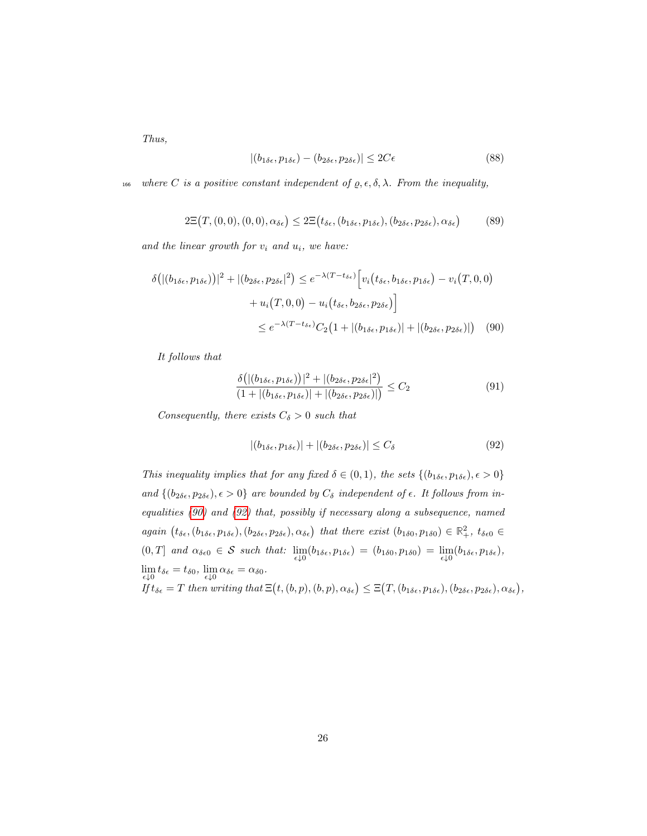Thus,

$$
|(b_{1\delta\epsilon}, p_{1\delta\epsilon}) - (b_{2\delta\epsilon}, p_{2\delta\epsilon})| \le 2C\epsilon
$$
\n(88)

166 where C is a positive constant independent of  $\rho, \epsilon, \delta, \lambda$ . From the inequality,

$$
2\Xi(T,(0,0),(0,0),\alpha_{\delta\epsilon}) \leq 2\Xi(t_{\delta\epsilon},(b_{1\delta\epsilon},p_{1\delta\epsilon}),(b_{2\delta\epsilon},p_{2\delta\epsilon}),\alpha_{\delta\epsilon})
$$
(89)

and the linear growth for  $v_i$  and  $u_i$ , we have:

$$
\delta\big(|(b_{1\delta\epsilon}, p_{1\delta\epsilon})\big)|^2 + |(b_{2\delta\epsilon}, p_{2\delta\epsilon}|^2) \leq e^{-\lambda(T - t_{\delta\epsilon})} \Big[v_i(t_{\delta\epsilon}, b_{1\delta\epsilon}, p_{1\delta\epsilon}) - v_i(T, 0, 0) + u_i(T, 0, 0) - u_i(t_{\delta\epsilon}, b_{2\delta\epsilon}, p_{2\delta\epsilon})\Big] \\
\leq e^{-\lambda(T - t_{\delta\epsilon})} C_2 \big(1 + |(b_{1\delta\epsilon}, p_{1\delta\epsilon})| + |(b_{2\delta\epsilon}, p_{2\delta\epsilon})|\big) \tag{90}
$$

It follows that

$$
\frac{\delta\big(|(b_{1\delta\epsilon}, p_{1\delta\epsilon})\big)|^2 + |(b_{2\delta\epsilon}, p_{2\delta\epsilon}|^2)}{(1 + |(b_{1\delta\epsilon}, p_{1\delta\epsilon})| + |(b_{2\delta\epsilon}, p_{2\delta\epsilon})|)} \le C_2
$$
\n(91)

Consequently, there exists  $C_{\delta} > 0$  such that

$$
|(b_{1\delta\epsilon}, p_{1\delta\epsilon})| + |(b_{2\delta\epsilon}, p_{2\delta\epsilon})| \le C_{\delta}
$$
\n(92)

This inequality implies that for any fixed  $\delta \in (0,1)$ , the sets  $\{(b_{1\delta\epsilon}, p_{1\delta\epsilon}), \epsilon > 0\}$ and  $\{(b_{2\delta\epsilon}, p_{2\delta\epsilon}), \epsilon > 0\}$  are bounded by  $C_{\delta}$  independent of  $\epsilon$ . It follows from inequalities (90) and (92) that, possibly if necessary along a subsequence, named  $again (t_{\delta\epsilon},(b_{1\delta\epsilon},p_{1\delta\epsilon}),(b_{2\delta\epsilon},p_{2\delta\epsilon}),\alpha_{\delta\epsilon})$  that there exist  $(b_{1\delta0},p_{1\delta0}) \in \mathbb{R}^2_+$ ,  $t_{\delta\epsilon0} \in$  $(0,T]$  and  $\alpha_{\delta\epsilon 0} \in S$  such that:  $\lim_{\epsilon \downarrow 0} (b_{1\delta\epsilon}, p_{1\delta\epsilon}) = (b_{1\delta 0}, p_{1\delta 0}) = \lim_{\epsilon \downarrow 0} (b_{1\delta\epsilon}, p_{1\delta\epsilon}),$  $\lim_{\epsilon \downarrow 0} t_{\delta \epsilon} = t_{\delta 0}, \lim_{\epsilon \downarrow 0} \alpha_{\delta \epsilon} = \alpha_{\delta 0}.$ If  $t_{\delta \epsilon} = T$  then writing that  $\Xi(t, (b, p), (b, p), \alpha_{\delta \epsilon}) \leq \Xi(T, (b_{1\delta \epsilon}, p_{1\delta \epsilon}), (b_{2\delta \epsilon}, p_{2\delta \epsilon}), \alpha_{\delta \epsilon}),$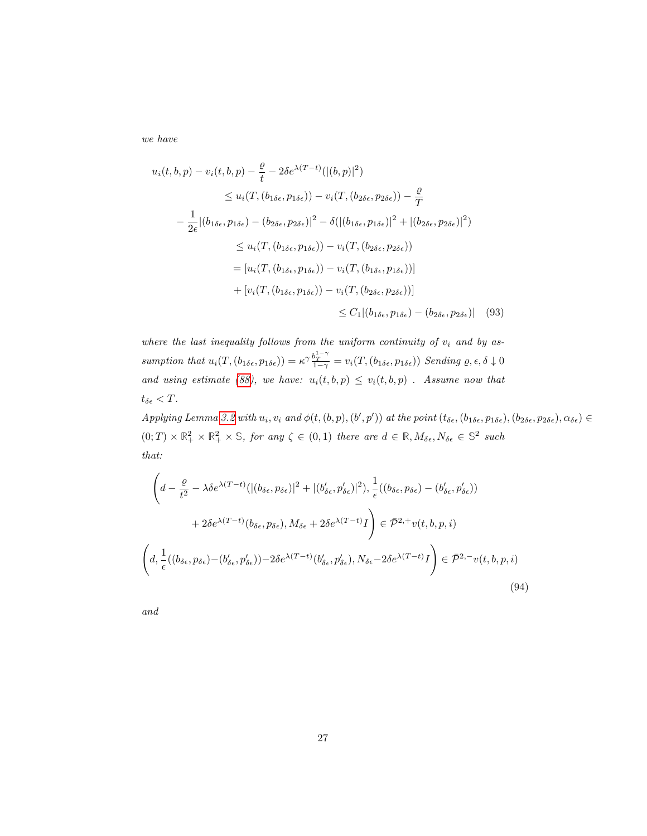we have

$$
u_i(t, b, p) - v_i(t, b, p) - \frac{\varrho}{t} - 2\delta e^{\lambda(T-t)}(\vert (b, p) \vert^2)
$$
  
\n
$$
\leq u_i(T, (b_{1\delta\epsilon}, p_{1\delta\epsilon})) - v_i(T, (b_{2\delta\epsilon}, p_{2\delta\epsilon})) - \frac{\varrho}{T}
$$
  
\n
$$
- \frac{1}{2\epsilon} \vert (b_{1\delta\epsilon}, p_{1\delta\epsilon}) - (b_{2\delta\epsilon}, p_{2\delta\epsilon}) \vert^2 - \delta(\vert (b_{1\delta\epsilon}, p_{1\delta\epsilon}) \vert^2 + \vert (b_{2\delta\epsilon}, p_{2\delta\epsilon}) \vert^2)
$$
  
\n
$$
\leq u_i(T, (b_{1\delta\epsilon}, p_{1\delta\epsilon})) - v_i(T, (b_{2\delta\epsilon}, p_{2\delta\epsilon}))
$$
  
\n
$$
= [u_i(T, (b_{1\delta\epsilon}, p_{1\delta\epsilon})) - v_i(T, (b_{1\delta\epsilon}, p_{1\delta\epsilon}))]
$$
  
\n
$$
+ [v_i(T, (b_{1\delta\epsilon}, p_{1\delta\epsilon})) - v_i(T, (b_{2\delta\epsilon}, p_{2\delta\epsilon}))]
$$
  
\n
$$
\leq C_1 \vert (b_{1\delta\epsilon}, p_{1\delta\epsilon}) - (b_{2\delta\epsilon}, p_{2\delta\epsilon}) \vert \quad (93)
$$

where the last inequality follows from the uniform continuity of  $v_i$  and by assumption that  $u_i(T, (b_{1\delta\epsilon}, p_{1\delta\epsilon})) = \kappa^\gamma \frac{b_T^{1-\gamma}}{1-\gamma} = v_i(T, (b_{1\delta\epsilon}, p_{1\delta\epsilon}))$  Sending  $\varrho, \epsilon, \delta \downarrow 0$ and using estimate (88), we have:  $u_i(t, b, p) \leq v_i(t, b, p)$ . Assume now that  $t_{\delta\epsilon} < T$ .

Applying Lemma 3.2 with  $u_i, v_i$  and  $\phi(t, (b, p), (b', p'))$  at the point  $(t_{\delta \epsilon}, (b_{1\delta \epsilon}, p_{1\delta \epsilon}), (b_{2\delta \epsilon}, p_{2\delta \epsilon}), \alpha_{\delta \epsilon}) \in$  $(0; T) \times \mathbb{R}^2_+ \times \mathbb{R}^2_+ \times \mathbb{S}$ , for any  $\zeta \in (0, 1)$  there are  $d \in \mathbb{R}, M_{\delta \epsilon}, N_{\delta \epsilon} \in \mathbb{S}^2$  such that:

$$
\left(d - \frac{\varrho}{t^2} - \lambda \delta e^{\lambda (T-t)} (|(b_{\delta\epsilon}, p_{\delta\epsilon})|^2 + |(b'_{\delta\epsilon}, p'_{\delta\epsilon})|^2), \frac{1}{\epsilon}((b_{\delta\epsilon}, p_{\delta\epsilon}) - (b'_{\delta\epsilon}, p'_{\delta\epsilon}))
$$
  

$$
+ 2\delta e^{\lambda (T-t)} (b_{\delta\epsilon}, p_{\delta\epsilon}), M_{\delta\epsilon} + 2\delta e^{\lambda (T-t)} I \right) \in \bar{\mathcal{P}}^{2,+} v(t, b, p, i)
$$
  

$$
\left(d, \frac{1}{\epsilon}((b_{\delta\epsilon}, p_{\delta\epsilon}) - (b'_{\delta\epsilon}, p'_{\delta\epsilon})) - 2\delta e^{\lambda (T-t)} (b'_{\delta\epsilon}, p'_{\delta\epsilon}), N_{\delta\epsilon} - 2\delta e^{\lambda (T-t)} I \right) \in \bar{\mathcal{P}}^{2,-} v(t, b, p, i)
$$
  
(94)

and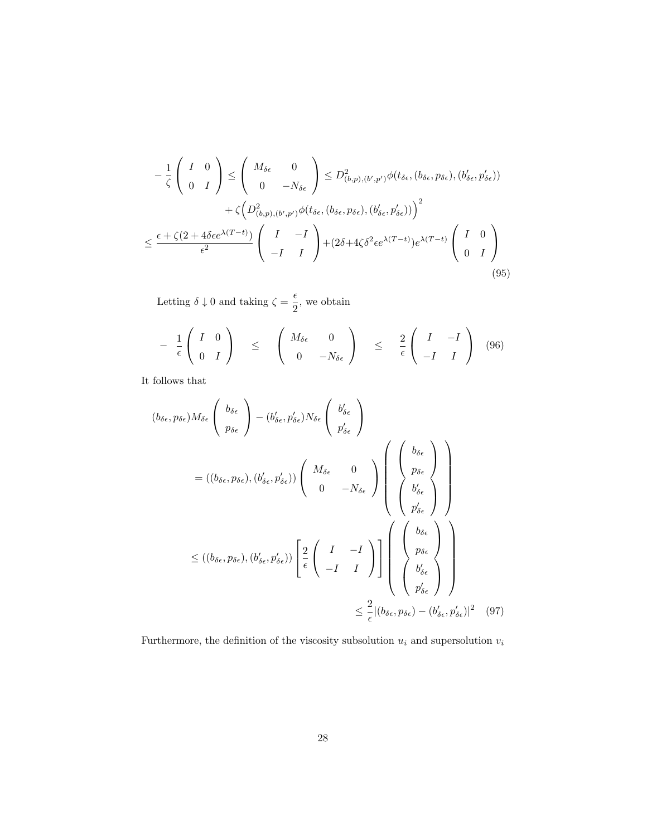$$
-\frac{1}{\zeta} \begin{pmatrix} I & 0 \\ 0 & I \end{pmatrix} \le \begin{pmatrix} M_{\delta\epsilon} & 0 \\ 0 & -N_{\delta\epsilon} \end{pmatrix} \le D^2_{(b,p),(b',p')} \phi(t_{\delta\epsilon}, (b_{\delta\epsilon}, p_{\delta\epsilon}), (b'_{\delta\epsilon}, p'_{\delta\epsilon}))
$$

$$
+\zeta \Big(D^2_{(b,p),(b',p')}\phi(t_{\delta\epsilon}, (b_{\delta\epsilon}, p_{\delta\epsilon}), (b'_{\delta\epsilon}, p'_{\delta\epsilon}))\Big)^2
$$

$$
\le \frac{\epsilon + \zeta(2 + 4\delta\epsilon e^{\lambda(T-t)})}{\epsilon^2} \begin{pmatrix} I & -I \\ -I & I \end{pmatrix} + (2\delta + 4\zeta\delta^2\epsilon e^{\lambda(T-t)})e^{\lambda(T-t)} \begin{pmatrix} I & 0 \\ 0 & I \end{pmatrix}
$$
(95)

Letting  $\delta \downarrow 0$  and taking  $\zeta = \frac{\epsilon}{2}$  $\frac{1}{2}$ , we obtain

$$
- \frac{1}{\epsilon} \begin{pmatrix} I & 0 \\ 0 & I \end{pmatrix} \le \begin{pmatrix} M_{\delta \epsilon} & 0 \\ 0 & -N_{\delta \epsilon} \end{pmatrix} \le \frac{2}{\epsilon} \begin{pmatrix} I & -I \\ -I & I \end{pmatrix} (96)
$$

It follows that

$$
(b_{\delta\epsilon}, p_{\delta\epsilon})M_{\delta\epsilon} \begin{pmatrix} b_{\delta\epsilon} \\ p_{\delta\epsilon} \end{pmatrix} - (b'_{\delta\epsilon}, p'_{\delta\epsilon})N_{\delta\epsilon} \begin{pmatrix} b'_{\delta\epsilon} \\ p'_{\delta\epsilon} \end{pmatrix}
$$
  
=  $((b_{\delta\epsilon}, p_{\delta\epsilon}), (b'_{\delta\epsilon}, p'_{\delta\epsilon})) \begin{pmatrix} M_{\delta\epsilon} & 0 \\ 0 & -N_{\delta\epsilon} \end{pmatrix} \begin{pmatrix} b_{\delta\epsilon} \\ p_{\delta\epsilon} \\ b'_{\delta\epsilon} \\ p'_{\delta\epsilon} \end{pmatrix}$   

$$
\leq ((b_{\delta\epsilon}, p_{\delta\epsilon}), (b'_{\delta\epsilon}, p'_{\delta\epsilon})) \begin{bmatrix} \frac{2}{\epsilon} \begin{pmatrix} I & -I \\ -I & I \end{pmatrix} \end{bmatrix} \begin{pmatrix} b_{\delta\epsilon} \\ p_{\delta\epsilon} \\ p'_{\delta\epsilon} \\ p'_{\delta\epsilon} \end{pmatrix}
$$
  

$$
\leq \frac{2}{\epsilon} |(b_{\delta\epsilon}, p_{\delta\epsilon}) - (b'_{\delta\epsilon}, p'_{\delta\epsilon})|^2 \tag{97}
$$

Furthermore, the definition of the viscosity subsolution  $u_i$  and supersolution  $v_i$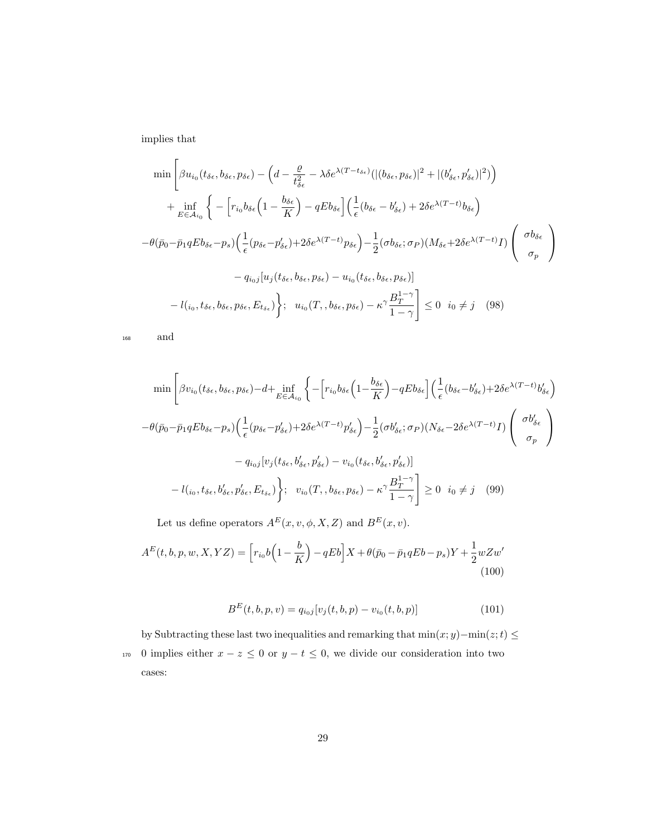implies that

$$
\min \left[ \beta u_{i_0}(t_{\delta\epsilon}, b_{\delta\epsilon}, p_{\delta\epsilon}) - \left( d - \frac{\varrho}{t_{\delta\epsilon}^2} - \lambda \delta e^{\lambda (T - t_{\delta\epsilon})} (|(b_{\delta\epsilon}, p_{\delta\epsilon})|^2 + |(b'_{\delta\epsilon}, p'_{\delta\epsilon})|^2) \right) \right]
$$
  
+ 
$$
\inf_{E \in \mathcal{A}_{i_0}} \left\{ - \left[ r_{i_0} b_{\delta\epsilon} \left( 1 - \frac{b_{\delta\epsilon}}{K} \right) - qE b_{\delta\epsilon} \right] \left( \frac{1}{\epsilon} (b_{\delta\epsilon} - b'_{\delta\epsilon}) + 2\delta e^{\lambda (T - t)} b_{\delta\epsilon} \right) \right]
$$
  
- 
$$
\theta(\bar{p}_0 - \bar{p}_1 q E b_{\delta\epsilon} - p_s) \left( \frac{1}{\epsilon} (p_{\delta\epsilon} - p'_{\delta\epsilon}) + 2\delta e^{\lambda (T - t)} p_{\delta\epsilon} \right) - \frac{1}{2} (\sigma b_{\delta\epsilon}; \sigma_P) (M_{\delta\epsilon} + 2\delta e^{\lambda (T - t)} I) \left( \frac{\sigma b_{\delta\epsilon}}{\sigma_p} \right)
$$
  
- 
$$
q_{i_0 j} [u_j(t_{\delta\epsilon}, b_{\delta\epsilon}, p_{\delta\epsilon}) - u_{i_0}(t_{\delta\epsilon}, b_{\delta\epsilon}, p_{\delta\epsilon})] \right]
$$
  
- 
$$
l(_{i_0}, t_{\delta\epsilon}, b_{\delta\epsilon}, p_{\delta\epsilon}, E_{t_{\delta\epsilon}}) \left\}; \quad u_{i_0}(T, b_{\delta\epsilon}, p_{\delta\epsilon}) - \kappa^{\gamma} \frac{B_1^{1-\gamma}}{1-\gamma} \right] \leq 0 \quad i_0 \neq j \quad (98)
$$

<sup>168</sup> and

$$
\min \left[ \beta v_{i_0} (t_{\delta \epsilon}, b_{\delta \epsilon}, p_{\delta \epsilon}) - d + \inf_{E \in \mathcal{A}_{i_0}} \left\{ - \left[ r_{i_0} b_{\delta \epsilon} \left( 1 - \frac{b_{\delta \epsilon}}{K} \right) - q E b_{\delta \epsilon} \right] \left( \frac{1}{\epsilon} (b_{\delta \epsilon} - b'_{\delta \epsilon}) + 2 \delta e^{\lambda (T - t)} b'_{\delta \epsilon} \right) \right. \right. \\ \left. - \theta (\bar{p}_0 - \bar{p}_1 q E b_{\delta \epsilon} - p_s) \left( \frac{1}{\epsilon} (p_{\delta \epsilon} - p'_{\delta \epsilon}) + 2 \delta e^{\lambda (T - t)} p'_{\delta \epsilon} \right) - \frac{1}{2} (\sigma b'_{\delta \epsilon}; \sigma_P) (N_{\delta \epsilon} - 2 \delta e^{\lambda (T - t)} I) \left( \begin{array}{c} \sigma b'_{\delta \epsilon} \\ \sigma_p \end{array} \right) \right. \\ \left. - q_{i_0 j} [v_j (t_{\delta \epsilon}, b'_{\delta \epsilon}, p'_{\delta \epsilon}) - v_{i_0} (t_{\delta \epsilon}, b'_{\delta \epsilon}, p'_{\delta \epsilon})] \right] \left. - l(i_0, t_{\delta \epsilon}, b'_{\delta \epsilon}, p'_{\delta \epsilon}) \right\}; \quad v_{i_0} (T, b_{\delta \epsilon}, p_{\delta \epsilon}) - \kappa^{\gamma} \frac{B_T^{1 - \gamma}}{1 - \gamma} \right] \geq 0 \quad i_0 \neq j \quad (99)
$$

Let us define operators  $A^E(x, v, \phi, X, Z)$  and  $B^E(x, v)$ .

$$
A^{E}(t, b, p, w, X, YZ) = \left[r_{i_{0}}b\left(1 - \frac{b}{K}\right) - qEb\right]X + \theta(\bar{p}_{0} - \bar{p}_{1}qEb - p_{s})Y + \frac{1}{2}wZw'\right]
$$
\n(100)

$$
B^{E}(t, b, p, v) = q_{i_0 j} [v_j(t, b, p) - v_{i_0}(t, b, p)]
$$
\n(101)

by Subtracting these last two inequalities and remarking that  $\min(x; y) - \min(z; t) \leq$ 170 0 implies either  $x - z \le 0$  or  $y - t \le 0$ , we divide our consideration into two cases: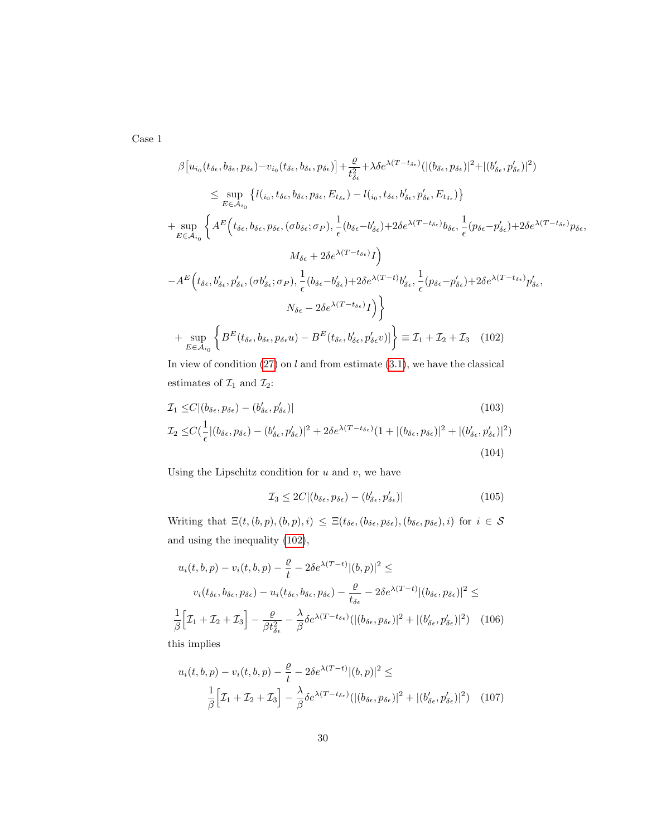Case 1

$$
\beta[u_{i_{0}}(t_{\delta\epsilon},b_{\delta\epsilon},p_{\delta\epsilon})-v_{i_{0}}(t_{\delta\epsilon},b_{\delta\epsilon},p_{\delta\epsilon})]+\frac{\varrho}{t_{\delta\epsilon}^{2}}+\lambda\delta e^{\lambda(T-t_{\delta\epsilon})}(|(b_{\delta\epsilon},p_{\delta\epsilon})|^{2}+|(b'_{\delta\epsilon},p'_{\delta\epsilon})|^{2})
$$
\n
$$
\leq \sup_{E\in\mathcal{A}_{i_{0}}}\left\{l(i_{0},t_{\delta\epsilon},b_{\delta\epsilon},p_{\delta\epsilon},E_{t_{\delta\epsilon}})-l(i_{0},t_{\delta\epsilon},b'_{\delta\epsilon},p'_{\delta\epsilon},E_{t_{\delta\epsilon}})\right\}
$$
\n
$$
+\sup_{E\in\mathcal{A}_{i_{0}}}\left\{A^{E}\left(t_{\delta\epsilon},b_{\delta\epsilon},p_{\delta\epsilon},(\sigma b_{\delta\epsilon};\sigma_{P}),\frac{1}{\epsilon}(b_{\delta\epsilon}-b'_{\delta\epsilon})+2\delta e^{\lambda(T-t_{\delta\epsilon})}b_{\delta\epsilon},\frac{1}{\epsilon}(p_{\delta\epsilon}-p'_{\delta\epsilon})+2\delta e^{\lambda(T-t_{\delta\epsilon})}p_{\delta\epsilon},\frac{M_{\delta\epsilon}+2\delta e^{\lambda(T-t_{\delta\epsilon})}I}{\delta} \right\}
$$
\n
$$
-A^{E}\left(t_{\delta\epsilon},b'_{\delta\epsilon},p'_{\delta\epsilon},(\sigma b'_{\delta\epsilon};\sigma_{P}),\frac{1}{\epsilon}(b_{\delta\epsilon}-b'_{\delta\epsilon})+2\delta e^{\lambda(T-t)}b'_{\delta\epsilon},\frac{1}{\epsilon}(p_{\delta\epsilon}-p'_{\delta\epsilon})+2\delta e^{\lambda(T-t_{\delta\epsilon})}p'_{\delta\epsilon},\frac{M_{\delta\epsilon}+2\delta e^{\lambda(T-t_{\delta\epsilon})}I}{\delta} \right\}
$$
\n
$$
+ \sup_{E\in\mathcal{A}_{i_{0}}}\left\{B^{E}(t_{\delta\epsilon},b_{\delta\epsilon},p_{\delta\epsilon}u)-B^{E}(t_{\delta\epsilon},b'_{\delta\epsilon},p'_{\delta\epsilon}v)|\right\} \equiv \mathcal{I}_{1}+\mathcal{I}_{2}+\mathcal{I}_{3} \quad (102)
$$

In view of condition  $(27)$  on l and from estimate  $(3.1)$ , we have the classical estimates of  $\mathcal{I}_1$  and  $\mathcal{I}_2$  :

$$
\mathcal{I}_1 \leq C | (b_{\delta\epsilon}, p_{\delta\epsilon}) - (b'_{\delta\epsilon}, p'_{\delta\epsilon}) |
$$
\n
$$
\mathcal{I}_2 \leq C \left( \frac{1}{\epsilon} | (b_{\delta\epsilon}, p_{\delta\epsilon}) - (b'_{\delta\epsilon}, p'_{\delta\epsilon}) |^2 + 2\delta e^{\lambda (T - t_{\delta\epsilon})} (1 + | (b_{\delta\epsilon}, p_{\delta\epsilon}) |^2 + | (b'_{\delta\epsilon}, p'_{\delta\epsilon}) |^2 \right)
$$
\n
$$
(103)
$$
\n
$$
(104)
$$

Using the Lipschitz condition for  $u$  and  $v$ , we have

$$
\mathcal{I}_3 \le 2C | (b_{\delta\epsilon}, p_{\delta\epsilon}) - (b'_{\delta\epsilon}, p'_{\delta\epsilon})| \tag{105}
$$

Writing that  $\Xi(t, (b, p), (b, p), i) \leq \Xi(t_{\delta\epsilon}, (b_{\delta\epsilon}, p_{\delta\epsilon}), (b_{\delta\epsilon}, p_{\delta\epsilon}), i)$  for  $i \in \mathcal{S}$ and using the inequality (102),

$$
u_i(t, b, p) - v_i(t, b, p) - \frac{\varrho}{t} - 2\delta e^{\lambda(T-t)} |(b, p)|^2 \le
$$
  

$$
v_i(t_{\delta\epsilon}, b_{\delta\epsilon}, p_{\delta\epsilon}) - u_i(t_{\delta\epsilon}, b_{\delta\epsilon}, p_{\delta\epsilon}) - \frac{\varrho}{t_{\delta\epsilon}} - 2\delta e^{\lambda(T-t)} |(b_{\delta\epsilon}, p_{\delta\epsilon})|^2 \le
$$
  

$$
\frac{1}{\beta} \Big[ \mathcal{I}_1 + \mathcal{I}_2 + \mathcal{I}_3 \Big] - \frac{\varrho}{\beta t_{\delta\epsilon}^2} - \frac{\lambda}{\beta} \delta e^{\lambda(T - t_{\delta\epsilon})} (|(b_{\delta\epsilon}, p_{\delta\epsilon})|^2 + |(b_{\delta\epsilon}', p_{\delta\epsilon}')|^2) \quad (106)
$$
his implies

this implies

$$
u_i(t, b, p) - v_i(t, b, p) - \frac{\varrho}{t} - 2\delta e^{\lambda (T - t)} |(b, p)|^2 \le
$$
  

$$
\frac{1}{\beta} \Big[ \mathcal{I}_1 + \mathcal{I}_2 + \mathcal{I}_3 \Big] - \frac{\lambda}{\beta} \delta e^{\lambda (T - t_{\delta \epsilon})} (|(b_{\delta \epsilon}, p_{\delta \epsilon})|^2 + |(b'_{\delta \epsilon}, p'_{\delta \epsilon})|^2) \quad (107)
$$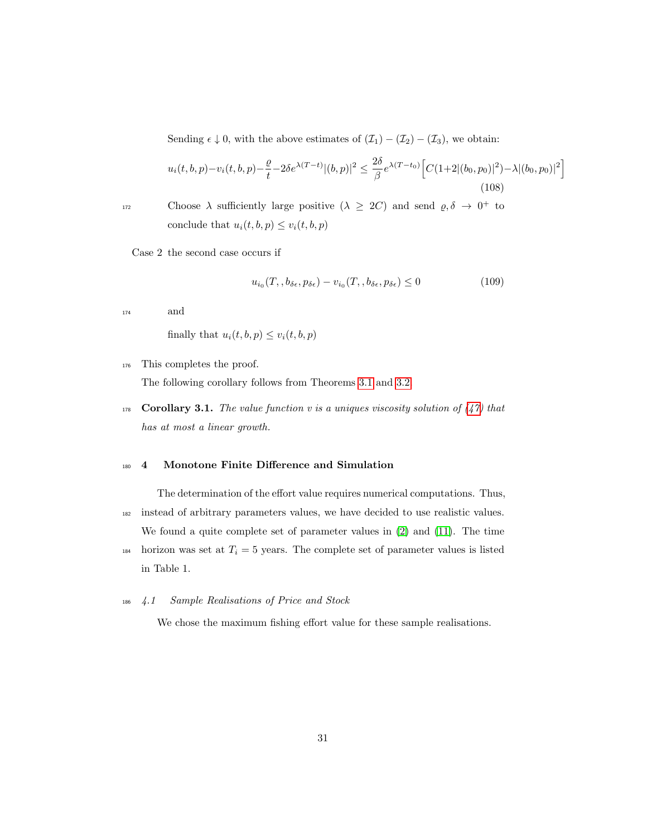Sending  $\epsilon \downarrow 0$ , with the above estimates of  $(\mathcal{I}_1) - (\mathcal{I}_2) - (\mathcal{I}_3)$ , we obtain:

$$
u_i(t, b, p) - v_i(t, b, p) - \frac{\varrho}{t} - 2\delta e^{\lambda(T-t)} |(b, p)|^2 \le \frac{2\delta}{\beta} e^{\lambda(T-t_0)} \Big[ C(1+2|(b_0, p_0)|^2) - \lambda |(b_0, p_0)|^2 \Big] \tag{108}
$$

choose  $\lambda$  sufficiently large positive  $(\lambda \geq 2C)$  and send  $\varrho, \delta \to 0^+$  to conclude that  $u_i(t, b, p) \leq v_i(t, b, p)$ 

Case 2 the second case occurs if

$$
u_{i_0}(T, b_{\delta\epsilon}, p_{\delta\epsilon}) - v_{i_0}(T, b_{\delta\epsilon}, p_{\delta\epsilon}) \le 0
$$
\n(109)

<sup>174</sup> and

finally that  $u_i(t, b, p) \leq v_i(t, b, p)$ 

<sup>176</sup> This completes the proof.

The following corollary follows from Theorems 3.1 and 3.2.

178 Corollary 3.1. The value function v is a uniques viscosity solution of  $(47)$  that has at most a linear growth.

### <sup>180</sup> 4 Monotone Finite Difference and Simulation

The determination of the effort value requires numerical computations. Thus, <sup>182</sup> instead of arbitrary parameters values, we have decided to use realistic values. We found a quite complete set of parameter values in (2) and (11). The time

184 horizon was set at  $T_i = 5$  years. The complete set of parameter values is listed in Table 1.

## <sup>186</sup> 4.1 Sample Realisations of Price and Stock

We chose the maximum fishing effort value for these sample realisations.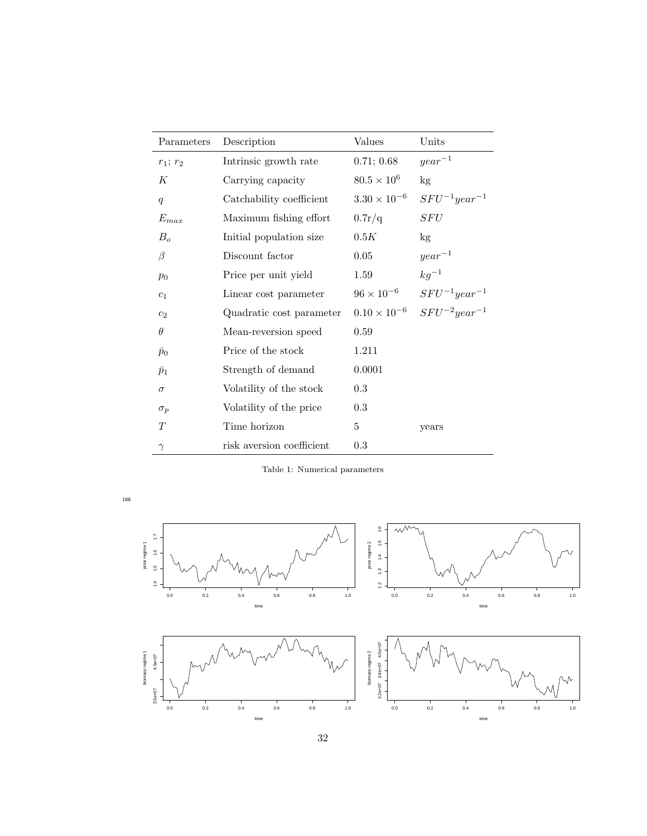| Parameters     | Description               | Values                | Units               |
|----------------|---------------------------|-----------------------|---------------------|
| $r_1; r_2$     | Intrinsic growth rate     | 0.71; 0.68            | $year^{-1}$         |
| К              | Carrying capacity         | $80.5 \times 10^{6}$  | kg                  |
| q              | Catchability coefficient  | $3.30 \times 10^{-6}$ | $SFU^{-1}year^{-1}$ |
| $E_{max}$      | Maximum fishing effort    | 0.7r/q                | SFU                 |
| $B_o$          | Initial population size   | 0.5K                  | kg                  |
| β              | Discount factor           | 0.05                  | $year^{-1}$         |
| $p_0$          | Price per unit yield      | 1.59                  | $kg^{-1}$           |
| c <sub>1</sub> | Linear cost parameter     | $96 \times 10^{-6}$   | $SFU^{-1}year^{-1}$ |
| c <sub>2</sub> | Quadratic cost parameter  | $0.10 \times 10^{-6}$ | $SFU^{-2}year^{-1}$ |
| $\theta$       | Mean-reversion speed      | 0.59                  |                     |
| $\bar{p}_0$    | Price of the stock        | 1.211                 |                     |
| $\bar{p}_1$    | Strength of demand        | 0.0001                |                     |
| $\sigma$       | Volatility of the stock   | 0.3                   |                     |
| $\sigma_p$     | Volatility of the price   | 0.3                   |                     |
| T              | Time horizon              | 5                     | years               |
| $\gamma$       | risk aversion coefficient | 0.3                   |                     |

Table 1: Numerical parameters



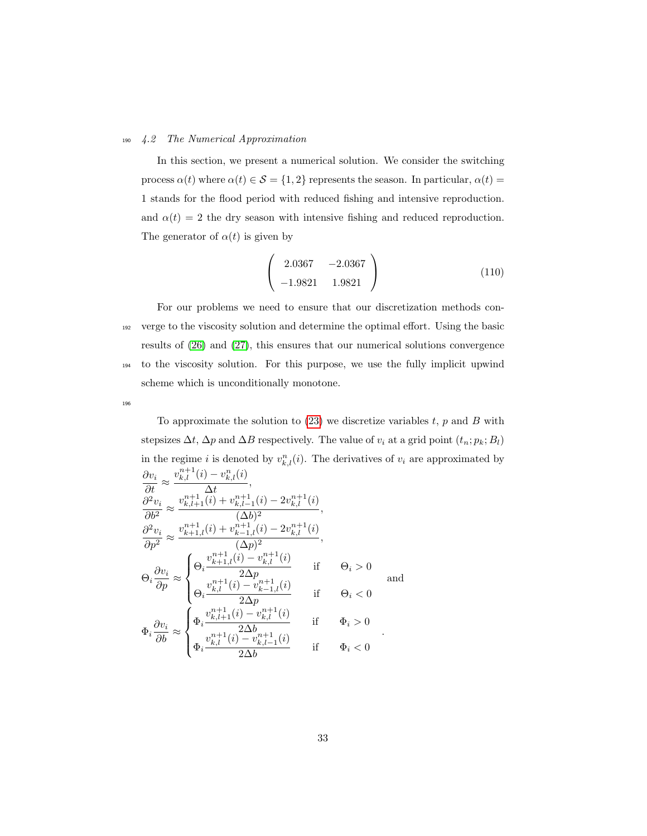#### <sup>190</sup> 4.2 The Numerical Approximation

In this section, we present a numerical solution. We consider the switching process  $\alpha(t)$  where  $\alpha(t) \in \mathcal{S} = \{1,2\}$  represents the season. In particular,  $\alpha(t) =$ 1 stands for the flood period with reduced fishing and intensive reproduction. and  $\alpha(t) = 2$  the dry season with intensive fishing and reduced reproduction. The generator of  $\alpha(t)$  is given by

$$
\left(\begin{array}{cc} 2.0367 & -2.0367 \\ -1.9821 & 1.9821 \end{array}\right) \tag{110}
$$

For our problems we need to ensure that our discretization methods con-<sup>192</sup> verge to the viscosity solution and determine the optimal effort. Using the basic results of (26) and (27), this ensures that our numerical solutions convergence <sup>194</sup> to the viscosity solution. For this purpose, we use the fully implicit upwind scheme which is unconditionally monotone.

196

To approximate the solution to  $(23)$  we discretize variables t, p and B with stepsizes  $\Delta t$ ,  $\Delta p$  and  $\Delta B$  respectively. The value of  $v_i$  at a grid point  $(t_n; p_k; B_l)$ in the regime i is denoted by  $v_{k,l}^n(i)$ . The derivatives of  $v_i$  are approximated by  $\frac{\partial v_i}{\partial t}$  ≈  $v_{k,l}^{n+1}(i) - v_{k,l}^{n}(i)$  $\frac{\kappa, t \infty}{\Delta t},$  $\partial^2 v_i$  $\frac{\partial u}{\partial b^2} \approx$  $v^{n+1}_{k,l+1}(i) + v^{n+1}_{k,l-1}(i) - 2v^{n+1}_{k,l}(i)$  $\frac{\kappa, t-1}{(\Delta b)^2},$  $\partial^2 v_i$  $\frac{\partial^2 u}{\partial p^2} \approx$  $v_{k+1,l}^{n+1}(i) + v_{k-1,l}^{n+1}(i) - 2v_{k,l}^{n+1}(i)$  $\frac{\kappa-1, i \vee \cdots \wedge \kappa, i \vee \cdots}{(\Delta p)^2},$  $\Theta_i \frac{\partial v_i}{\partial p} \approx$  $\sqrt{ }$  $\int$  $\overline{\mathcal{L}}$  $\Theta_i$  $v_{k+1,l}^{n+1}(i) - v_{k,l}^{n+1}(i)$  $\frac{\partial}{\partial \Delta p}$  if  $\Theta_i > 0$  $\Theta_i$  $v_{k,l}^{n+1}(i) - v_{k-1,l}^{n+1}(i)$  $\frac{\kappa-1, i \leftrightarrow 2}{2\Delta p}$  if  $\Theta_i < 0$ and  $\Phi_i \frac{\partial v_i}{\partial b} \approx$  $\sqrt{ }$  $\int$  $\mathcal{L}$  $\Phi_i$  $v_{k,l+1}^{n+1}(i) - v_{k,l}^{n+1}(i)$  $\frac{\partial}{\partial \Delta b}$  if  $\Phi_i > 0$  $\Phi_i$  $v_{k,l}^{n+1}(i)$  –  $v_{k,l-1}^{n+1}(i)$  $\frac{\kappa_{i}+1}{2\Delta b}$  if  $\Phi_i < 0$ .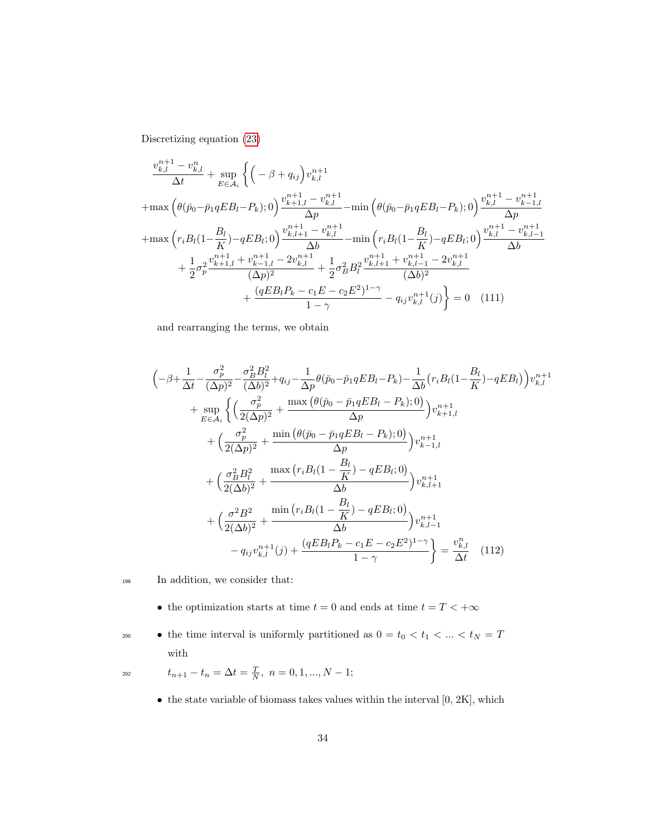Discretizing equation (23)

$$
\frac{v_{k,l}^{n+1} - v_{k,l}^{n}}{\Delta t} + \sup_{E \in \mathcal{A}_i} \left\{ \left( -\beta + q_{ij} \right) v_{k,l}^{n+1} + \max \left( \theta(\bar{p}_0 - \bar{p}_1 q E B_l - P_k); 0 \right) \frac{v_{k+1,l}^{n+1} - v_{k,l}^{n+1}}{\Delta p} - \min \left( \theta(\bar{p}_0 - \bar{p}_1 q E B_l - P_k); 0 \right) \frac{v_{k,l}^{n+1} - v_{k-1,l}^{n+1}}{\Delta p} + \max \left( r_i B_l (1 - \frac{B_l}{K}) - q E B_l; 0 \right) \frac{v_{k,l+1}^{n+1} - v_{k,l}^{n+1}}{\Delta b} - \min \left( r_i B_l (1 - \frac{B_l}{K}) - q E B_l; 0 \right) \frac{v_{k,l}^{n+1} - v_{k,l-1}^{n+1}}{\Delta b} + \frac{1}{2} \sigma_p^2 \frac{v_{k+1,l}^{n+1} + v_{k-1,l}^{n+1} - 2v_{k,l}^{n+1}}{(\Delta p)^2} + \frac{1}{2} \sigma_p^2 B_l^2 \frac{v_{k,l+1}^{n+1} + v_{k,l-1}^{n+1} - 2v_{k,l}^{n+1}}{(\Delta b)^2} + \frac{(q E B_l P_k - c_1 E - c_2 E^2)^{1-\gamma}}{1-\gamma} - q_{ij} v_{k,l}^{n+1}(j) \right\} = 0 \quad (111)
$$

and rearranging the terms, we obtain

$$
\begin{split}\n&\left(-\beta + \frac{1}{\Delta t} - \frac{\sigma_p^2}{(\Delta p)^2} - \frac{\sigma_B^2 B_l^2}{(\Delta b)^2} + q_{ij} - \frac{1}{\Delta p}\theta(\bar{p}_0 - \bar{p}_1 q E B_l - P_k) - \frac{1}{\Delta b}(r_i B_l (1 - \frac{B_l}{K}) - q E B_l)\right)v_{k,l}^{n+1} \\
&+ \sup_{E \in \mathcal{A}_i} \left\{ \left(\frac{\sigma_p^2}{2(\Delta p)^2} + \frac{\max\left(\theta(\bar{p}_0 - \bar{p}_1 q E B_l - P_k);0\right)}{\Delta p}\right)v_{k+1,l}^{n+1} + \left(\frac{\sigma_p^2}{2(\Delta p)^2} + \frac{\min\left(\theta(\bar{p}_0 - \bar{p}_1 q E B_l - P_k);0\right)}{\Delta p}\right)v_{k-1,l}^{n+1} + \left(\frac{\sigma_B^2 B_l^2}{2(\Delta b)^2} + \frac{\max\left(r_i B_l (1 - \frac{B_l}{K}) - q E B_l;0\right)}{\Delta b}\right)v_{k,l+1}^{n+1} + \left(\frac{\sigma^2 B^2}{2(\Delta b)^2} + \frac{\min\left(r_i B_l (1 - \frac{B_l}{K}) - q E B_l;0\right)}{\Delta b}\right)v_{k,l-1}^{n+1} - q_{ij}v_{k,l}^{n+1}(j) + \frac{(q E B_l P_k - c_1 E - c_2 E^2)^{1-\gamma}}{1-\gamma}\right\} = \frac{v_{k,l}^n}{\Delta t} \quad (112)\n\end{split}
$$

- <sup>198</sup> In addition, we consider that:
	- $\bullet\,$  the optimization starts at time  $t=0$  and ends at time  $t=T<+\infty\,$

 $\bullet\;$  the time interval is uniformly partitioned as  $0=t_0 < t_1 < \ldots < t_N = T$ with

$$
t_{n+1} - t_n = \Delta t = \frac{T}{N}, \ n = 0, 1, ..., N - 1;
$$

 $\bullet$  the state variable of biomass takes values within the interval  $[0, 2K]$ , which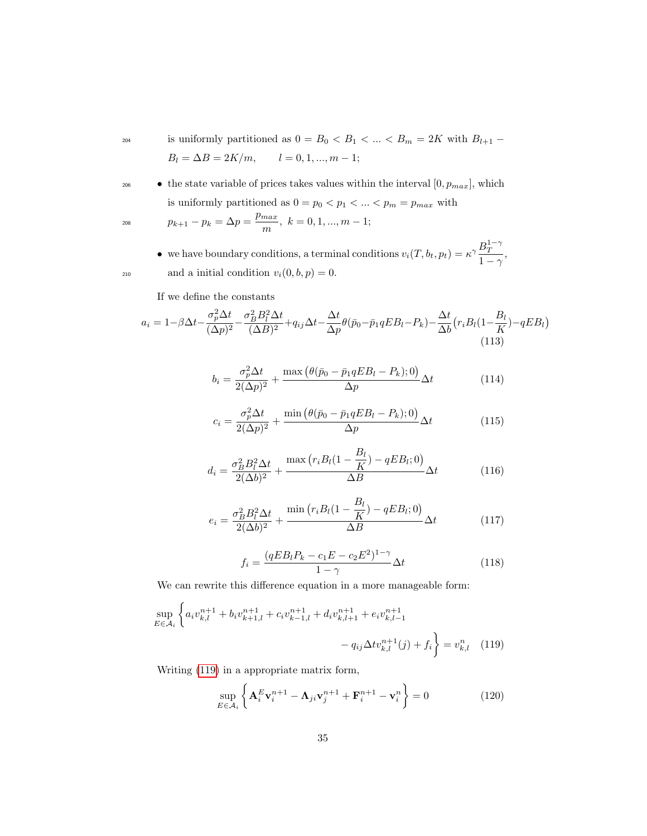<sup>204</sup> is uniformly partitioned as  $0 = B_0 < B_1 < \ldots < B_m = 2K$  with  $B_{l+1}$  –  $B_l = \Delta B = 2K/m, \qquad l = 0, 1, ..., m - 1;$ 

• the state variable of prices takes values within the interval  $[0, p_{max}]$ , which is uniformly partitioned as  $0=p_0 < p_1 < \ldots < p_m = p_{max}$  with

$$
p_{k+1} - p_k = \Delta p = \frac{p_{max}}{m}, \ k = 0, 1, ..., m - 1;
$$

• we have boundary conditions, a terminal conditions  $v_i(T, b_t, p_t) = \kappa^\gamma \frac{B_T^{1-\gamma}}{1-\gamma}$  $\frac{D_T}{1-\gamma},$ 210 and a initial condition  $v_i(0, b, p) = 0$ .

If we define the constants

$$
a_i = 1 - \beta \Delta t - \frac{\sigma_p^2 \Delta t}{(\Delta p)^2} - \frac{\sigma_B^2 B_l^2 \Delta t}{(\Delta B)^2} + q_{ij} \Delta t - \frac{\Delta t}{\Delta p} \theta(\bar{p}_0 - \bar{p}_1 q E B_l - P_k) - \frac{\Delta t}{\Delta b} (r_i B_l (1 - \frac{B_l}{K}) - q E B_l)
$$
\n(113)

$$
b_i = \frac{\sigma_p^2 \Delta t}{2(\Delta p)^2} + \frac{\max\left(\theta(\bar{p}_0 - \bar{p}_1 q E B_l - P_k); 0\right)}{\Delta p} \Delta t \tag{114}
$$

$$
c_i = \frac{\sigma_p^2 \Delta t}{2(\Delta p)^2} + \frac{\min\left(\theta(\bar{p}_0 - \bar{p}_1 q E B_l - P_k); 0\right)}{\Delta p} \Delta t \tag{115}
$$

$$
d_i = \frac{\sigma_B^2 B_l^2 \Delta t}{2(\Delta b)^2} + \frac{\max\left(r_i B_l(1 - \frac{B_l}{K}) - q E B_l; 0\right)}{\Delta B} \Delta t \tag{116}
$$

$$
e_i = \frac{\sigma_B^2 B_l^2 \Delta t}{2(\Delta b)^2} + \frac{\min\left(r_i B_l(1 - \frac{B_l}{K}) - q E B_l; 0\right)}{\Delta B} \Delta t \tag{117}
$$

$$
f_i = \frac{(qEB_lP_k - c_1E - c_2E^2)^{1-\gamma}}{1-\gamma} \Delta t
$$
\n(118)

We can rewrite this difference equation in a more manageable form:

$$
\sup_{E \in \mathcal{A}_i} \left\{ a_i v_{k,l}^{n+1} + b_i v_{k+1,l}^{n+1} + c_i v_{k-1,l}^{n+1} + d_i v_{k,l+1}^{n+1} + e_i v_{k,l-1}^{n+1} - q_{ij} \Delta t v_{k,l}^{n+1}(j) + f_i \right\} = v_{k,l}^n \tag{119}
$$

Writing (119) in a appropriate matrix form,

$$
\sup_{E \in \mathcal{A}_i} \left\{ \mathbf{A}_i^E \mathbf{v}_i^{n+1} - \mathbf{\Lambda}_{ji} \mathbf{v}_j^{n+1} + \mathbf{F}_i^{n+1} - \mathbf{v}_i^n \right\} = 0 \tag{120}
$$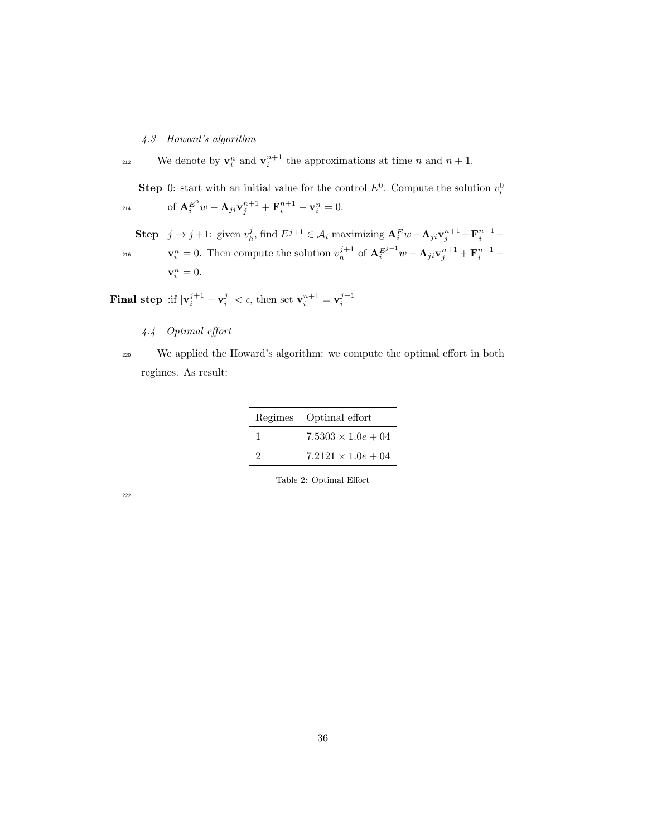4.3 Howard's algorithm

<sup>212</sup> We denote by  $\mathbf{v}_i^n$  and  $\mathbf{v}_i^{n+1}$  the approximations at time n and  $n+1$ .

**Step** 0: start with an initial value for the control  $E^0$ . Compute the solution  $v_i^0$  $\qquad \qquad \text{ of } \mathbf{A}^{E^0}_i w - \mathbf{\Lambda}_{ji} \mathbf{v}^{n+1}_j + \mathbf{F}^{n+1}_i - \mathbf{v}^{n}_i = 0.$ 

**Step**  $j \to j+1$ : given  $v_h^j$ , find  $E^{j+1} \in \mathcal{A}_i$  maximizing  $\mathbf{A}_i^E w - \mathbf{\Lambda}_{ji} \mathbf{v}_j^{n+1} + \mathbf{F}_i^{n+1} -$ 216  $\mathbf{v}_i^n = 0$ . Then compute the solution  $v_h^{j+1}$  of  $\mathbf{A}_i^{E^{j+1}} w - \mathbf{\Lambda}_{ji} \mathbf{v}_j^{n+1} + \mathbf{F}_i^{n+1}$  $\mathbf{v}_i^n = 0.$ 

Final step :if  $|\mathbf{v}_i^{j+1} - \mathbf{v}_i^j| < \epsilon$ , then set  $\mathbf{v}_i^{n+1} = \mathbf{v}_i^{j+1}$ 

4.4 Optimal effort

<sup>220</sup> We applied the Howard's algorithm: we compute the optimal effort in both regimes. As result:

|   | Regimes Optimal effort     |
|---|----------------------------|
|   | $7.5303 \times 1.0e + 04$  |
| 9 | $7.2121 \times 1.0e + 0.4$ |

Table 2: Optimal Effort

222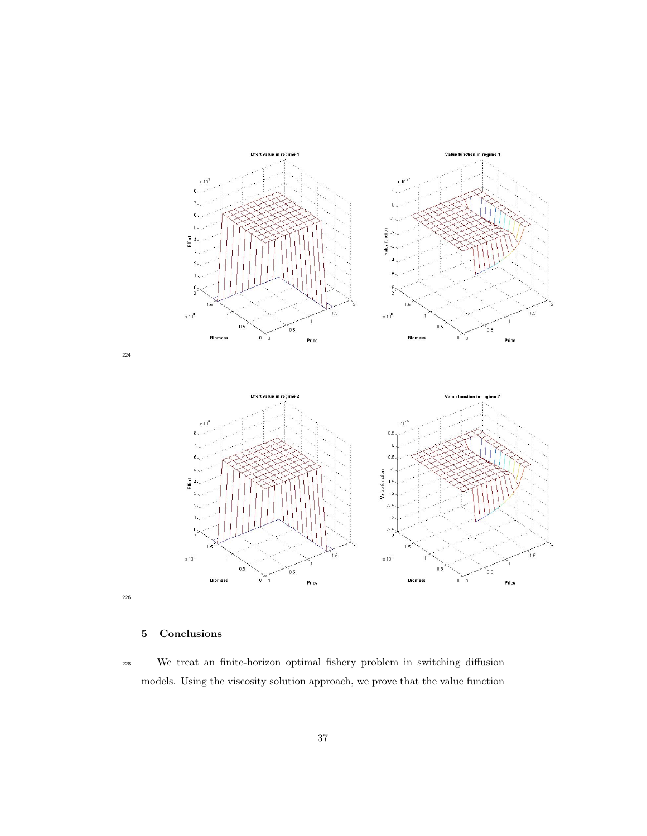

# 5 Conclusions

 We treat an finite-horizon optimal fishery problem in switching diffusion models. Using the viscosity solution approach, we prove that the value function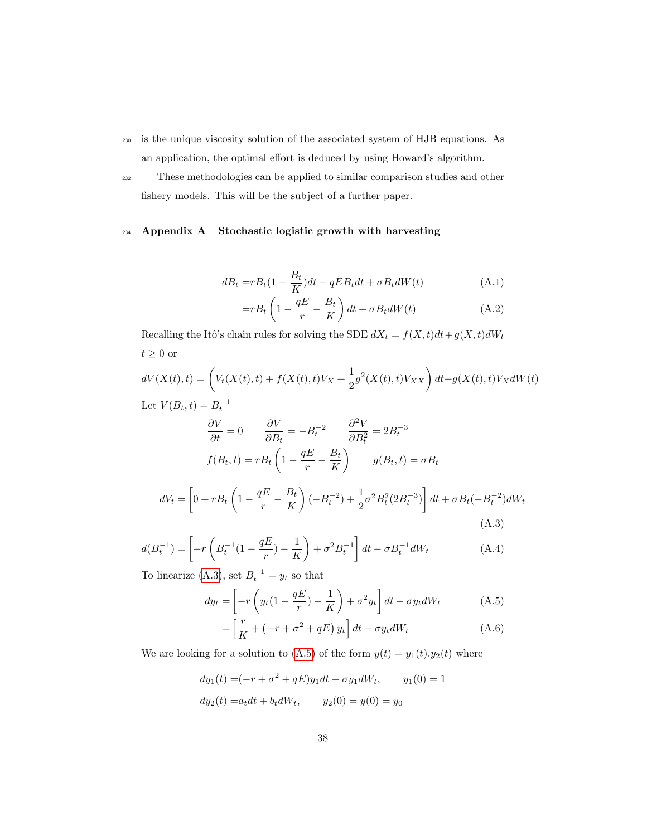- <sup>230</sup> is the unique viscosity solution of the associated system of HJB equations. As an application, the optimal effort is deduced by using Howard's algorithm.
- <sup>232</sup> These methodologies can be applied to similar comparison studies and other fishery models. This will be the subject of a further paper.

# <sup>234</sup> Appendix A Stochastic logistic growth with harvesting

$$
dB_t = rB_t(1 - \frac{B_t}{K})dt - qEB_t dt + \sigma B_t dW(t)
$$
\n(A.1)

$$
= rB_t \left( 1 - \frac{qE}{r} - \frac{B_t}{K} \right) dt + \sigma B_t dW(t)
$$
 (A.2)

Recalling the Itô's chain rules for solving the SDE  $dX_t = f(X,t) dt + g(X,t) dW_t$  $t\geq 0$ or

$$
dV(X(t),t) = \left(V_t(X(t),t) + f(X(t),t)V_X + \frac{1}{2}g^2(X(t),t)V_{XX}\right)dt + g(X(t),t)V_X dW(t)
$$
  
Let  $V(B_t,t) = B_t^{-1}$ 

$$
\frac{\partial V}{\partial t} = 0 \qquad \frac{\partial V}{\partial B_t} = -B_t^{-2} \qquad \frac{\partial^2 V}{\partial B_t^2} = 2B_t^{-3}
$$

$$
f(B_t, t) = rB_t \left(1 - \frac{qE}{r} - \frac{B_t}{K}\right) \qquad g(B_t, t) = \sigma B_t
$$

$$
dV_t = \left[0 + rB_t \left(1 - \frac{qE}{r} - \frac{B_t}{K}\right)(-B_t^{-2}) + \frac{1}{2}\sigma^2 B_t^2 (2B_t^{-3})\right] dt + \sigma B_t (-B_t^{-2}) dW_t
$$
(A.3)

$$
d(B_t^{-1}) = \left[ -r \left( B_t^{-1} (1 - \frac{qE}{r}) - \frac{1}{K} \right) + \sigma^2 B_t^{-1} \right] dt - \sigma B_t^{-1} dW_t \tag{A.4}
$$

To linearize (A.3), set  $B_t^{-1} = y_t$  so that

$$
dy_t = \left[ -r \left( y_t (1 - \frac{qE}{r}) - \frac{1}{K} \right) + \sigma^2 y_t \right] dt - \sigma y_t dW_t \tag{A.5}
$$

$$
= \left[\frac{r}{K} + \left(-r + \sigma^2 + qE\right)y_t\right]dt - \sigma y_t dW_t \tag{A.6}
$$

We are looking for a solution to (A.5) of the form  $y(t) = y_1(t) \cdot y_2(t)$  where

$$
dy_1(t) = (-r + \sigma^2 + qE)y_1 dt - \sigma y_1 dW_t, \qquad y_1(0) = 1
$$
  

$$
dy_2(t) = a_t dt + b_t dW_t, \qquad y_2(0) = y(0) = y_0
$$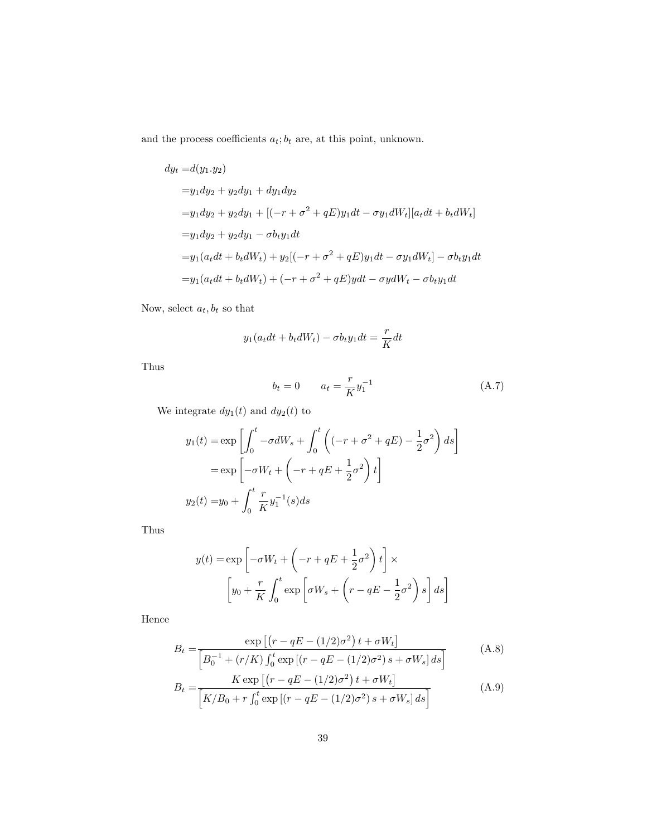and the process coefficients  $a_t; b_t$  are, at this point, unknown.

$$
dy_t = d(y_1 \cdot y_2)
$$
  
=  $y_1 dy_2 + y_2 dy_1 + dy_1 dy_2$   
=  $y_1 dy_2 + y_2 dy_1 + [(-r + \sigma^2 + qE)y_1 dt - \sigma y_1 dW_t][a_t dt + b_t dW_t]$   
=  $y_1 dy_2 + y_2 dy_1 - \sigma b_t y_1 dt$   
=  $y_1 (a_t dt + b_t dW_t) + y_2 [(-r + \sigma^2 + qE)y_1 dt - \sigma y_1 dW_t] - \sigma b_t y_1 dt$   
=  $y_1 (a_t dt + b_t dW_t) + (-r + \sigma^2 + qE) y dt - \sigma y dW_t - \sigma b_t y_1 dt$ 

Now, select  $\boldsymbol{a}_t, \boldsymbol{b}_t$  so that

$$
y_1(a_t dt + b_t dW_t) - \sigma b_t y_1 dt = \frac{r}{K} dt
$$

Thus

$$
b_t = 0 \t a_t = \frac{r}{K} y_1^{-1} \t (A.7)
$$

We integrate  $dy_1(t)$  and  $dy_2(t)$  to

$$
y_1(t) = \exp\left[\int_0^t -\sigma dW_s + \int_0^t \left((-r + \sigma^2 + qE) - \frac{1}{2}\sigma^2\right) ds\right]
$$

$$
= \exp\left[-\sigma W_t + \left(-r + qE + \frac{1}{2}\sigma^2\right)t\right]
$$

$$
y_2(t) = y_0 + \int_0^t \frac{r}{K} y_1^{-1}(s) ds
$$

Thus

$$
y(t) = \exp\left[-\sigma W_t + \left(-r + qE + \frac{1}{2}\sigma^2\right)t\right] \times
$$

$$
\left[y_0 + \frac{r}{K} \int_0^t \exp\left[\sigma W_s + \left(r - qE - \frac{1}{2}\sigma^2\right)s\right] ds\right]
$$

Hence

$$
B_{t} = \frac{\exp\left[\left(r - qE - (1/2)\sigma^{2}\right)t + \sigma W_{t}\right]}{\left[B_{0}^{-1} + (r/K)\int_{0}^{t} \exp\left[(r - qE - (1/2)\sigma^{2})s + \sigma W_{s}\right]ds\right]}
$$
(A.8)  

$$
B_{t} = \frac{K \exp\left[\left(r - qE - (1/2)\sigma^{2}\right)t + \sigma W_{t}\right]}{\left[K/B_{0} + r\int_{0}^{t} \exp\left[(r - qE - (1/2)\sigma^{2})s + \sigma W_{s}\right]ds\right]}
$$
(A.9)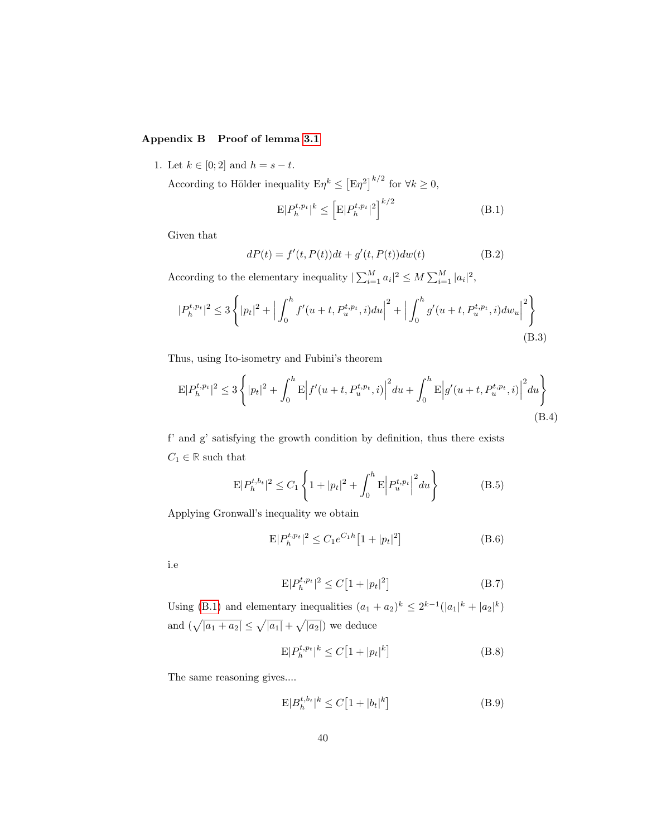# Appendix B Proof of lemma 3.1

1. Let  $k \in [0; 2]$  and  $h = s - t$ .

According to Hölder inequality  $E\eta^k \leq [E\eta^2]^{k/2}$  for  $\forall k \geq 0$ ,

$$
E|P_h^{t,p_t}|^k \le \left[E|P_h^{t,p_t}|^2\right]^{k/2} \tag{B.1}
$$

Given that

$$
dP(t) = f'(t, P(t))dt + g'(t, P(t))dw(t)
$$
 (B.2)

According to the elementary inequality  $|\sum_{i=1}^{M} a_i|^2 \le M \sum_{i=1}^{M} |a_i|^2$ ,

$$
|P_h^{t,p_t}|^2 \le 3\left\{|p_t|^2 + \Big|\int_0^h f'(u+t, P_u^{t,p_t}, i)du\Big|^2 + \Big|\int_0^h g'(u+t, P_u^{t,p_t}, i)dw_u\Big|^2\right\}
$$
(B.3)

Thus, using Ito-isometry and Fubini's theorem

$$
E|P_h^{t, p_t}|^2 \le 3\left\{|p_t|^2 + \int_0^h E|f'(u+t, P_u^{t, p_t}, i)|^2 du + \int_0^h E|g'(u+t, P_u^{t, p_t}, i)|^2 du\right\}
$$
\n(B.4)

f' and g' satisfying the growth condition by definition, thus there exists  $C_1 \in \mathbb{R}$  such that

$$
E|P_h^{t,b_t}|^2 \le C_1 \left\{ 1 + |p_t|^2 + \int_0^h E \left| P_u^{t,p_t} \right|^2 du \right\}
$$
 (B.5)

Applying Gronwall's inequality we obtain

$$
E|P_h^{t, p_t}|^2 \le C_1 e^{C_1 h} \left[1 + |p_t|^2\right] \tag{B.6}
$$

i.e

$$
E|P_h^{t, p_t}|^2 \le C\left[1 + |p_t|^2\right] \tag{B.7}
$$

Using (B.1) and elementary inequalities  $(a_1 + a_2)^k \leq 2^{k-1} (|a_1|^k + |a_2|^k)$ and  $(\sqrt{|a_1 + a_2|} \leq \sqrt{|a_1|} + \sqrt{|a_2|})$  we deduce

$$
\mathbf{E}|P_h^{t,p_t}|^k \le C\left[1+|p_t|^k\right] \tag{B.8}
$$

The same reasoning gives....

$$
E|B_h^{t,b_t}|^k \le C\left[1 + |b_t|^k\right] \tag{B.9}
$$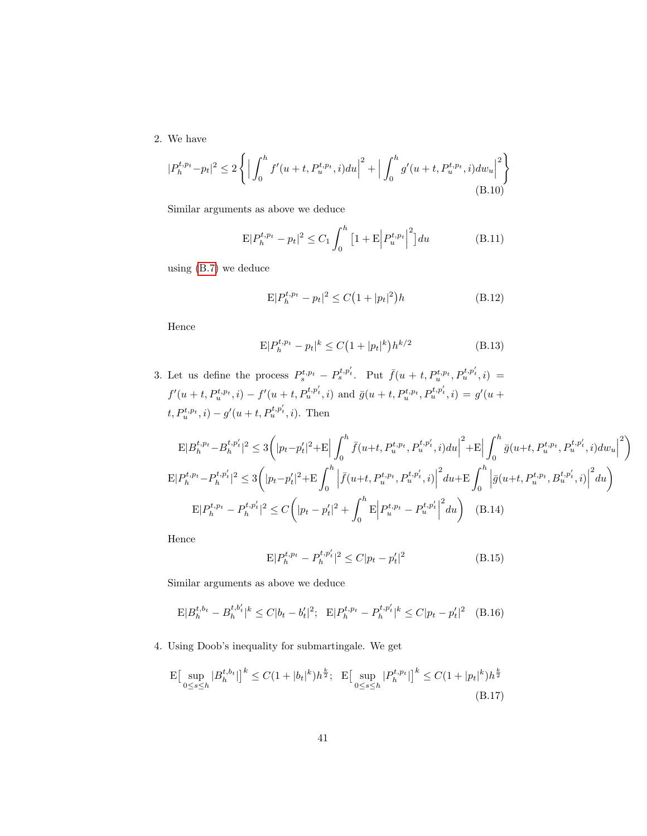2. We have

$$
|P_h^{t,p_t} - p_t|^2 \le 2\left\{ \left| \int_0^h f'(u+t, P_u^{t,p_t}, i) du \right|^2 + \left| \int_0^h g'(u+t, P_u^{t,p_t}, i) dw_u \right|^2 \right\}
$$
\n(B.10)

Similar arguments as above we deduce

$$
E|P_h^{t,p_t} - p_t|^2 \le C_1 \int_0^h \left[1 + E\left|P_u^{t,p_t}\right|^2\right] du \tag{B.11}
$$

using (B.7) we deduce

$$
E|P_h^{t, p_t} - p_t|^2 \le C\left(1 + |p_t|^2\right)h\tag{B.12}
$$

Hence

$$
E|P_h^{t,p_t} - p_t|^k \le C\left(1 + |p_t|^k\right)h^{k/2}
$$
\n(B.13)

3. Let us define the process  $P_s^{t,p_t} - P_s^{t,p'_t}$ . Put  $\bar{f}(u + t, P_u^{t,p_t}, P_u^{t,p'_t}, i) =$  $f'(u+t, P_u^{t,p_t}, i) - f'(u+t, P_u^{t,p'_t}, i)$  and  $\bar{g}(u+t, P_u^{t,p_t}, P_u^{t,p'_t}, i) = g'(u+t, P_u^{t,p_t}, i)$  $t, P_u^{t,p_t}, i) - g'(u+t, P_u^{t,p'_t}, i)$ . Then

$$
\mathcal{E}|B_{h}^{t,p_{t}}-B_{h}^{t,p'_{t}}|^{2} \leq 3\left(|p_{t}-p'_{t}|^{2}+\mathcal{E}\Big|\int_{0}^{h}\bar{f}(u+t,P_{u}^{t,p_{t}},P_{u}^{t,p'_{t}},i)du\Big|^{2}+\mathcal{E}\Big|\int_{0}^{h}\bar{g}(u+t,P_{u}^{t,p_{t}},P_{u}^{t,p'_{t}},i)dw_{u}\Big|^{2}\right)
$$

$$
\mathcal{E}|P_{h}^{t,p_{t}}-P_{h}^{t,p'_{t}}|^{2} \leq 3\left(|p_{t}-p'_{t}|^{2}+\mathcal{E}\int_{0}^{h}\Big|\bar{f}(u+t,P_{u}^{t,p_{t}},P_{u}^{t,p'_{t}},i)\Big|^{2}du+\mathcal{E}\int_{0}^{h}\Big|\bar{g}(u+t,P_{u}^{t,p_{t}},B_{u}^{t,p'_{t}},i)\Big|^{2}du\right)
$$

$$
\mathcal{E}|P_{h}^{t,p_{t}}-P_{h}^{t,p'_{t}}|^{2} \leq C\left(|p_{t}-p'_{t}|^{2}+\int_{0}^{h}\mathcal{E}\Big|P_{u}^{t,p_{t}}-P_{u}^{t,p'_{t}}\Big|^{2}du\right) \quad (B.14)
$$

Hence

$$
E|P_h^{t,p_t} - P_h^{t,p'_t}|^2 \le C|p_t - p'_t|^2
$$
\n(B.15)

Similar arguments as above we deduce

$$
E|B_h^{t,b_t} - B_h^{t,b'_t}|^k \le C|b_t - b'_t|^2; \quad E|P_h^{t,p_t} - P_h^{t,p'_t}|^k \le C|p_t - p'_t|^2 \tag{B.16}
$$

4. Using Doob's inequality for submartingale. We get

$$
\mathcal{E}\left[\sup_{0\leq s\leq h}|B_{h}^{t,b_{t}}|\right]^{k}\leq C(1+|b_{t}|^{k})h^{\frac{k}{2}};\quad \mathcal{E}\left[\sup_{0\leq s\leq h}|P_{h}^{t,p_{t}}|\right]^{k}\leq C(1+|p_{t}|^{k})h^{\frac{k}{2}}\tag{B.17}
$$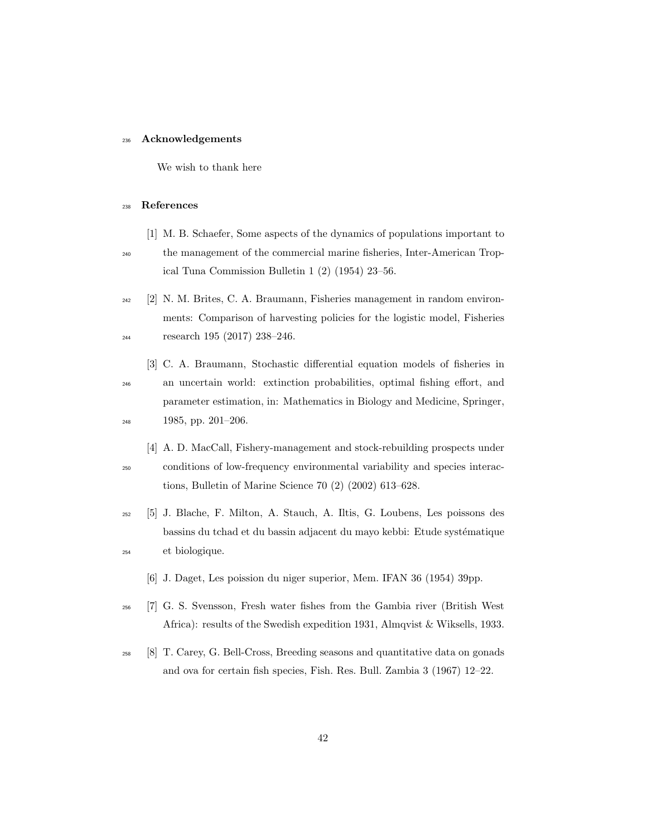### <sup>236</sup> Acknowledgements

We wish to thank here

#### <sup>238</sup> References

- [1] M. B. Schaefer, Some aspects of the dynamics of populations important to
- <sup>240</sup> the management of the commercial marine fisheries, Inter-American Tropical Tuna Commission Bulletin 1 (2) (1954) 23–56.
- <sup>242</sup> [2] N. M. Brites, C. A. Braumann, Fisheries management in random environments: Comparison of harvesting policies for the logistic model, Fisheries <sup>244</sup> research 195 (2017) 238–246.
	- [3] C. A. Braumann, Stochastic differential equation models of fisheries in
- <sup>246</sup> an uncertain world: extinction probabilities, optimal fishing effort, and parameter estimation, in: Mathematics in Biology and Medicine, Springer, <sup>248</sup> 1985, pp. 201–206.
- [4] A. D. MacCall, Fishery-management and stock-rebuilding prospects under <sup>250</sup> conditions of low-frequency environmental variability and species interactions, Bulletin of Marine Science 70 (2) (2002) 613–628.
- <sup>252</sup> [5] J. Blache, F. Milton, A. Stauch, A. Iltis, G. Loubens, Les poissons des bassins du tchad et du bassin adjacent du mayo kebbi: Etude systématique <sup>254</sup> et biologique.
	- [6] J. Daget, Les poission du niger superior, Mem. IFAN 36 (1954) 39pp.
- <sup>256</sup> [7] G. S. Svensson, Fresh water fishes from the Gambia river (British West Africa): results of the Swedish expedition 1931, Almqvist & Wiksells, 1933.
- <sup>258</sup> [8] T. Carey, G. Bell-Cross, Breeding seasons and quantitative data on gonads and ova for certain fish species, Fish. Res. Bull. Zambia 3 (1967) 12–22.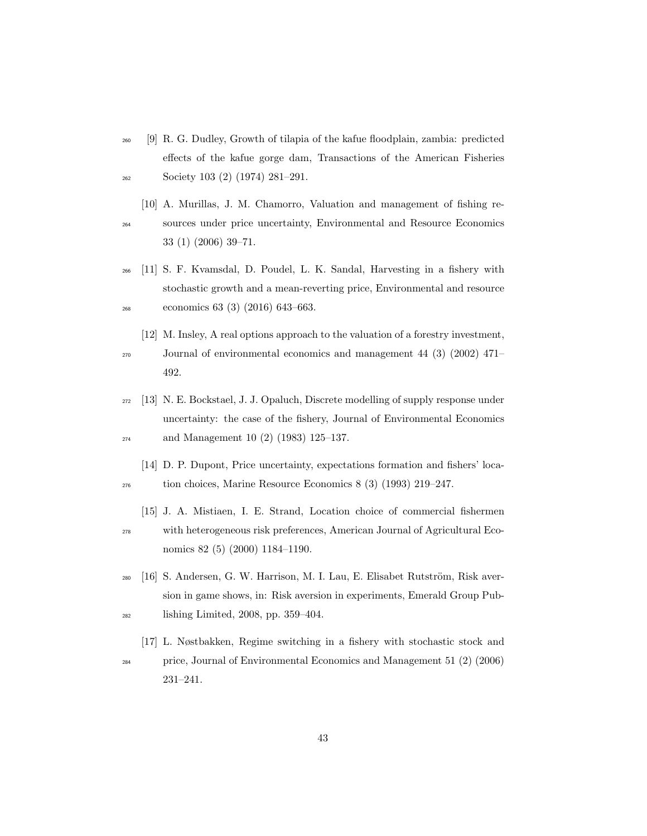- <sup>260</sup> [9] R. G. Dudley, Growth of tilapia of the kafue floodplain, zambia: predicted effects of the kafue gorge dam, Transactions of the American Fisheries <sup>262</sup> Society 103 (2) (1974) 281–291.
- [10] A. Murillas, J. M. Chamorro, Valuation and management of fishing re-<sup>264</sup> sources under price uncertainty, Environmental and Resource Economics 33 (1) (2006) 39–71.
- <sup>266</sup> [11] S. F. Kvamsdal, D. Poudel, L. K. Sandal, Harvesting in a fishery with stochastic growth and a mean-reverting price, Environmental and resource <sup>268</sup> economics 63 (3) (2016) 643–663.
- [12] M. Insley, A real options approach to the valuation of a forestry investment, <sup>270</sup> Journal of environmental economics and management 44 (3) (2002) 471– 492.
- <sup>272</sup> [13] N. E. Bockstael, J. J. Opaluch, Discrete modelling of supply response under uncertainty: the case of the fishery, Journal of Environmental Economics <sup>274</sup> and Management 10 (2) (1983) 125–137.
- [14] D. P. Dupont, Price uncertainty, expectations formation and fishers' loca-<sup>276</sup> tion choices, Marine Resource Economics 8 (3) (1993) 219–247.
- [15] J. A. Mistiaen, I. E. Strand, Location choice of commercial fishermen <sup>278</sup> with heterogeneous risk preferences, American Journal of Agricultural Economics 82 (5) (2000) 1184–1190.
- $_{280}$  [16] S. Andersen, G. W. Harrison, M. I. Lau, E. Elisabet Rutström, Risk aversion in game shows, in: Risk aversion in experiments, Emerald Group Pub-<sup>282</sup> lishing Limited, 2008, pp. 359–404.
- [17] L. Nøstbakken, Regime switching in a fishery with stochastic stock and <sup>284</sup> price, Journal of Environmental Economics and Management 51 (2) (2006)

231–241.